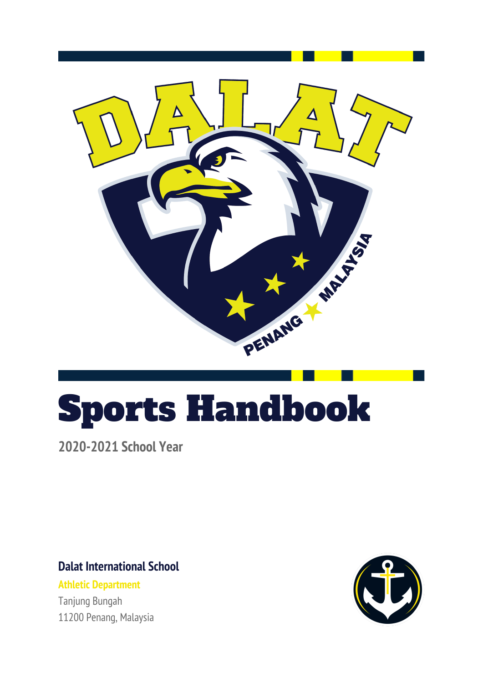

# Sports Handbook

**2020-2021 School Year**

**Dalat International School**

**Athletic Department** Tanjung Bungah 11200 Penang, Malaysia

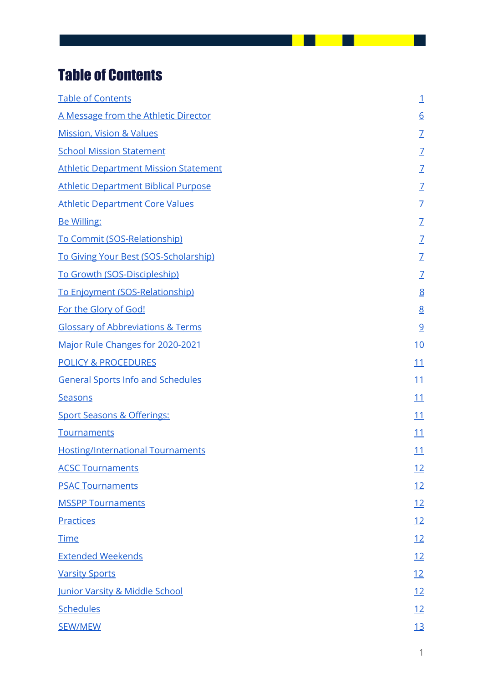# <span id="page-1-0"></span>Table of Contents

| <b>Table of Contents</b>                     | $\perp$         |
|----------------------------------------------|-----------------|
| A Message from the Athletic Director         | $\underline{6}$ |
| <b>Mission, Vision &amp; Values</b>          | $\overline{L}$  |
| <b>School Mission Statement</b>              | $\overline{1}$  |
| <b>Athletic Department Mission Statement</b> | $\overline{1}$  |
| <b>Athletic Department Biblical Purpose</b>  | $\overline{1}$  |
| <b>Athletic Department Core Values</b>       | $\mathbf{Z}$    |
| <b>Be Willing:</b>                           | $\overline{L}$  |
| To Commit (SOS-Relationship)                 | $\mathcal{I}$   |
| To Giving Your Best (SOS-Scholarship)        | $\overline{L}$  |
| To Growth (SOS-Discipleship)                 | $\overline{1}$  |
| To Enjoyment (SOS-Relationship)              | 8               |
| For the Glory of God!                        | 8               |
| <b>Glossary of Abbreviations &amp; Terms</b> | $\overline{9}$  |
| Major Rule Changes for 2020-2021             | <u>10</u>       |
| <b>POLICY &amp; PROCEDURES</b>               | 11              |
| <b>General Sports Info and Schedules</b>     | <u>11</u>       |
| <b>Seasons</b>                               | 11              |
| <b>Sport Seasons &amp; Offerings:</b>        | <u> 11</u>      |
| <b>Tournaments</b>                           | <u> 11</u>      |
| <b>Hosting/International Tournaments</b>     | <u> 11</u>      |
| <b>ACSC Tournaments</b>                      | <u>12</u>       |
| <b>PSAC Tournaments</b>                      | <u>12</u>       |
| <b>MSSPP Tournaments</b>                     | <u>12</u>       |
| <b>Practices</b>                             | <u>12</u>       |
| <b>Time</b>                                  | 12              |
| <b>Extended Weekends</b>                     | <u>12</u>       |
| <b>Varsity Sports</b>                        | <u> 12</u>      |
| Junior Varsity & Middle School               | <u> 12</u>      |
| <b>Schedules</b>                             | <u> 12</u>      |
| <b>SEW/MEW</b>                               | <u>13</u>       |

- 1

ı  $\sim$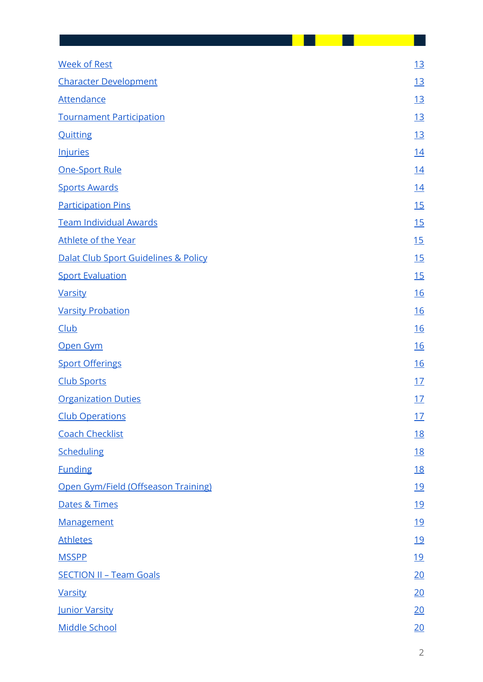| <b>Week of Rest</b>                  |  | 13             |
|--------------------------------------|--|----------------|
| <b>Character Development</b>         |  | <u>13</u>      |
| <b>Attendance</b>                    |  | <u>13</u>      |
| <b>Tournament Participation</b>      |  | <u>13</u>      |
| <b>Quitting</b>                      |  | <u>13</u>      |
| <b>Injuries</b>                      |  | <u>14</u>      |
| <b>One-Sport Rule</b>                |  | 14             |
| <b>Sports Awards</b>                 |  | <u>14</u>      |
| <b>Participation Pins</b>            |  | 15             |
| <b>Team Individual Awards</b>        |  | 15             |
| Athlete of the Year                  |  | 15             |
| Dalat Club Sport Guidelines & Policy |  | 15             |
| <b>Sport Evaluation</b>              |  | 15             |
| <b>Varsity</b>                       |  | <u>16</u>      |
| <b>Varsity Probation</b>             |  | <u>16</u>      |
| <b>Club</b>                          |  | <u>16</u>      |
| Open Gym                             |  | 16             |
| <b>Sport Offerings</b>               |  | <u>16</u>      |
| <b>Club Sports</b>                   |  | 17             |
| <b>Organization Duties</b>           |  | <u>17</u>      |
| <b>Club Operations</b>               |  | 17             |
| <b>Coach Checklist</b>               |  | <u>18</u>      |
| Scheduling                           |  | <u>18</u>      |
| <b>Funding</b>                       |  | <u>18</u>      |
| Open Gym/Field (Offseason Training)  |  | <u>19</u>      |
| Dates & Times                        |  | <u> 19</u>     |
| Management                           |  | <u>19</u>      |
| <b>Athletes</b>                      |  | <u>19</u>      |
| <b>MSSPP</b>                         |  | <u>19</u>      |
| <b>SECTION II - Team Goals</b>       |  | 20             |
| <b>Varsity</b>                       |  | <u> 20</u>     |
| <b>Junior Varsity</b>                |  | <u>20</u>      |
| <b>Middle School</b>                 |  | <u>20</u>      |
|                                      |  | $\overline{2}$ |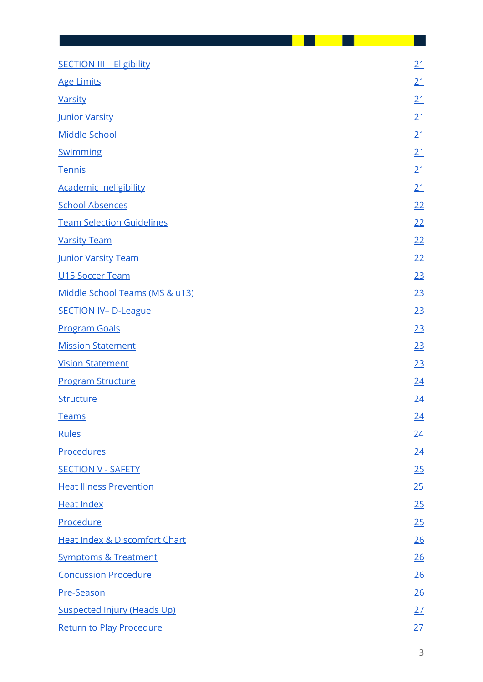| <b>SECTION III - Eligibility</b>         | <u>21</u> |
|------------------------------------------|-----------|
| <b>Age Limits</b>                        | 21        |
| <b>Varsity</b>                           | <u>21</u> |
| Junior Varsity                           | 21        |
| <b>Middle School</b>                     | <u>21</u> |
| Swimming                                 | <u>21</u> |
| Tennis                                   | 21        |
| <b>Academic Ineligibility</b>            | 21        |
| <b>School Absences</b>                   | 22        |
| <b>Team Selection Guidelines</b>         | 22        |
| <b>Varsity Team</b>                      | 22        |
| <b>Junior Varsity Team</b>               | 22        |
| <b>U15 Soccer Team</b>                   | 23        |
| Middle School Teams (MS & u13)           | <u>23</u> |
| <b>SECTION IV- D-League</b>              | 23        |
| <b>Program Goals</b>                     | 23        |
| <b>Mission Statement</b>                 | <u>23</u> |
| <b>Vision Statement</b>                  | 23        |
| <b>Program Structure</b>                 | <u>24</u> |
| Structure                                | <u>24</u> |
| <b>Teams</b>                             | 24        |
| <b>Rules</b>                             | 24        |
| <b>Procedures</b>                        | 24        |
| <b>SECTION V - SAFETY</b>                | 25        |
| <b>Heat Illness Prevention</b>           | 25        |
| <b>Heat Index</b>                        | 25        |
| Procedure                                | 25        |
| <b>Heat Index &amp; Discomfort Chart</b> | 26        |
| <b>Symptoms &amp; Treatment</b>          | 26        |
| <b>Concussion Procedure</b>              | <u>26</u> |
| Pre-Season                               | 26        |
| <b>Suspected Injury (Heads Up)</b>       | <u>27</u> |
| <b>Return to Play Procedure</b>          | 27        |
|                                          | 3         |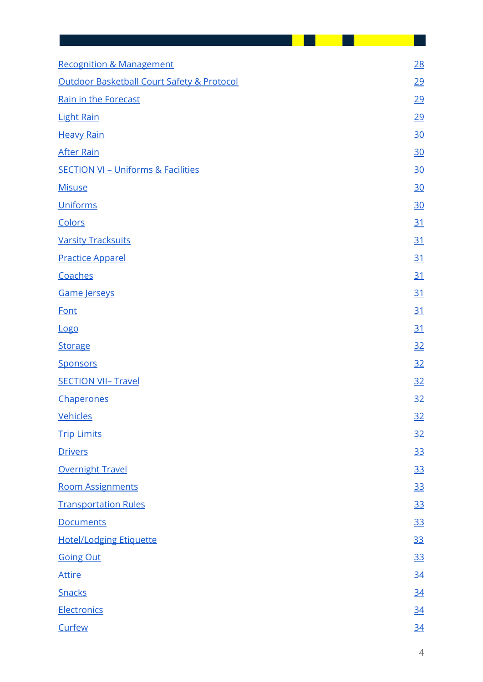| <b>Recognition &amp; Management</b>           | 28        |
|-----------------------------------------------|-----------|
| Outdoor Basketball Court Safety & Protocol    | <u>29</u> |
| Rain in the Forecast                          | 29        |
| <b>Light Rain</b>                             | <u>29</u> |
| <b>Heavy Rain</b>                             | <u>30</u> |
| <b>After Rain</b>                             | <u>30</u> |
| <b>SECTION VI - Uniforms &amp; Facilities</b> | <u>30</u> |
| <b>Misuse</b>                                 | <u>30</u> |
| <b>Uniforms</b>                               | 30        |
| Colors                                        | <u>31</u> |
| <b>Varsity Tracksuits</b>                     | <u>31</u> |
| <b>Practice Apparel</b>                       | <u>31</u> |
| Coaches                                       | <u>31</u> |
| Game Jerseys                                  | <u>31</u> |
| <b>Font</b>                                   | <u>31</u> |
| <u>Logo</u>                                   | 31        |
| <b>Storage</b>                                | 32        |
| <b>Sponsors</b>                               | 32        |
| <b>SECTION VII- Travel</b>                    | 32        |
| Chaperones                                    | <u>32</u> |
| <b>Vehicles</b>                               | 32        |
| <b>Trip Limits</b>                            | 32        |
| <b>Drivers</b>                                | <u>33</u> |
| <b>Overnight Travel</b>                       | <u>33</u> |
| <b>Room Assignments</b>                       | <u>33</u> |
| <b>Transportation Rules</b>                   | <u>33</u> |
| <b>Documents</b>                              | <u>33</u> |
| <b>Hotel/Lodging Etiquette</b>                | 33        |
| <b>Going Out</b>                              | <u>33</u> |
| <u>Attire</u>                                 | 34        |
| Snacks                                        | 34        |
| Electronics                                   | 34        |
| Curfew                                        | 34        |
|                                               |           |

 $\overline{\phantom{0}}$ 

. .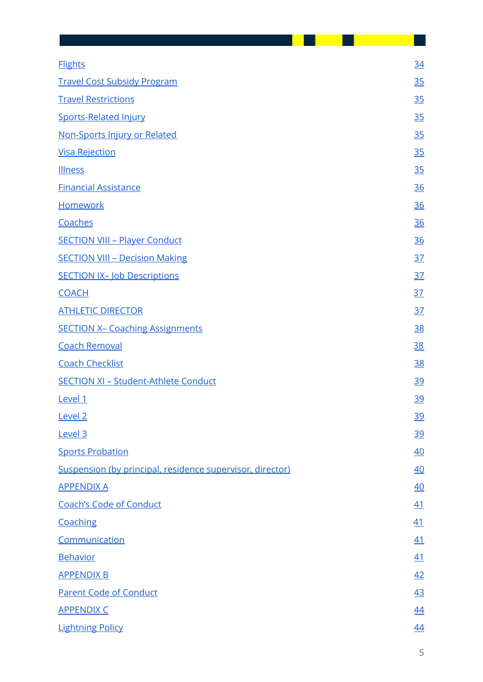| <b>Flights</b>                                            | <u>34</u> |
|-----------------------------------------------------------|-----------|
| <b>Travel Cost Subsidy Program</b>                        | <u>35</u> |
| <b>Travel Restrictions</b>                                | <u>35</u> |
| <b>Sports-Related Injury</b>                              | <u>35</u> |
| Non-Sports Injury or Related                              | <u>35</u> |
| <b>Visa Rejection</b>                                     | <u>35</u> |
| <b>Illness</b>                                            | <u>35</u> |
| <b>Financial Assistance</b>                               | <u>36</u> |
| <b>Homework</b>                                           | <u>36</u> |
| Coaches                                                   | <u>36</u> |
| <b>SECTION VIII - Player Conduct</b>                      | <u>36</u> |
| <b>SECTION VIII - Decision Making</b>                     | <u>37</u> |
| <b>SECTION IX- Job Descriptions</b>                       | <u>37</u> |
| <b>COACH</b>                                              | <u>37</u> |
| <b>ATHLETIC DIRECTOR</b>                                  | <u>37</u> |
| <b>SECTION X- Coaching Assignments</b>                    | <u>38</u> |
| <b>Coach Removal</b>                                      | 38        |
| <b>Coach Checklist</b>                                    | <u>38</u> |
| <b>SECTION XI - Student-Athlete Conduct</b>               | <u>39</u> |
| Level 1                                                   | 39        |
| Level <sub>2</sub>                                        | <u>39</u> |
| Level 3                                                   | <u>39</u> |
| <b>Sports Probation</b>                                   | 40        |
| Suspension (by principal, residence supervisor, director) | 40        |
| <b>APPENDIX A</b>                                         | 40        |
| <b>Coach's Code of Conduct</b>                            | <u>41</u> |
| Coaching                                                  | 41        |
| Communication                                             | <u>41</u> |
| <b>Behavior</b>                                           | 41        |
| <b>APPENDIX B</b>                                         | 42        |
| <b>Parent Code of Conduct</b>                             | <u>43</u> |
| <b>APPENDIX C</b>                                         | <u>44</u> |
| <b>Lightning Policy</b>                                   | <u>44</u> |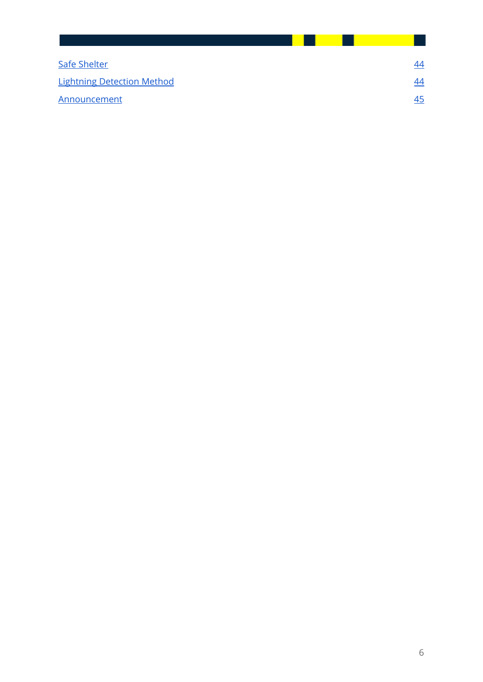| Safe Shelter                      | 44        |
|-----------------------------------|-----------|
| <b>Lightning Detection Method</b> | 44        |
| Announcement                      | <u>45</u> |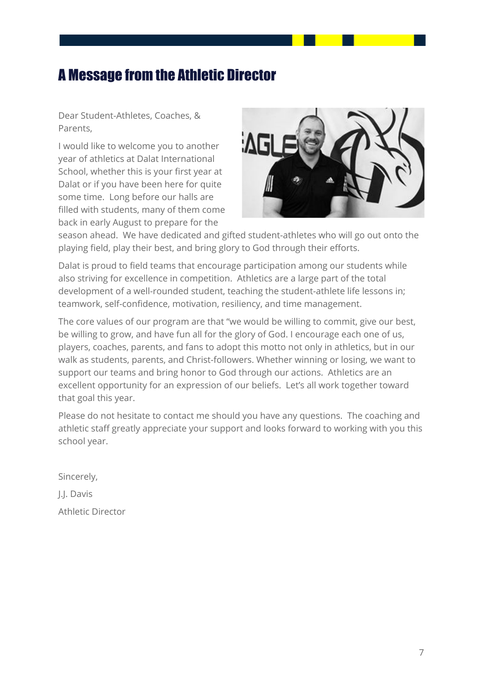# <span id="page-7-0"></span>A Message from the Athletic Director

Dear Student-Athletes, Coaches, & Parents,

I would like to welcome you to another year of athletics at Dalat International School, whether this is your first year at Dalat or if you have been here for quite some time. Long before our halls are filled with students, many of them come back in early August to prepare for the



season ahead. We have dedicated and gifted student-athletes who will go out onto the playing field, play their best, and bring glory to God through their efforts.

Dalat is proud to field teams that encourage participation among our students while also striving for excellence in competition. Athletics are a large part of the total development of a well-rounded student, teaching the student-athlete life lessons in; teamwork, self-confidence, motivation, resiliency, and time management.

The core values of our program are that "we would be willing to commit, give our best, be willing to grow, and have fun all for the glory of God. I encourage each one of us, players, coaches, parents, and fans to adopt this motto not only in athletics, but in our walk as students, parents, and Christ-followers. Whether winning or losing, we want to support our teams and bring honor to God through our actions. Athletics are an excellent opportunity for an expression of our beliefs. Let's all work together toward that goal this year.

Please do not hesitate to contact me should you have any questions. The coaching and athletic staff greatly appreciate your support and looks forward to working with you this school year.

Sincerely,

J.J. Davis

Athletic Director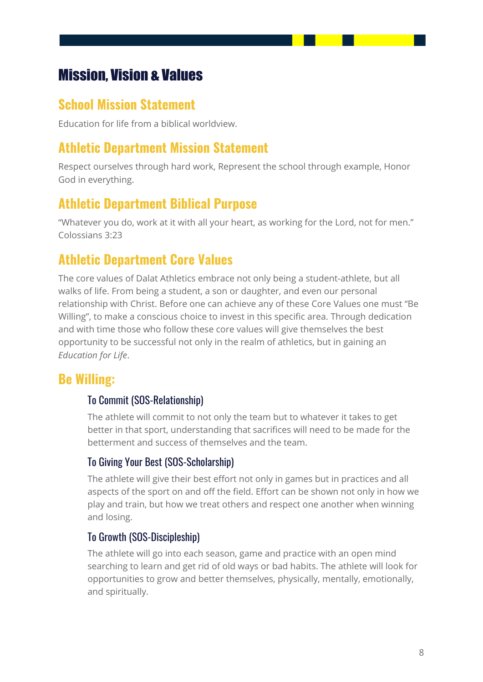# <span id="page-8-0"></span>Mission, Vision & Values

### <span id="page-8-1"></span>**School Mission Statement**

Education for life from a biblical worldview.

### <span id="page-8-2"></span>**Athletic Department Mission Statement**

Respect ourselves through hard work, Represent the school through example, Honor God in everything.

### <span id="page-8-3"></span>**Athletic Department Biblical Purpose**

"Whatever you do, work at it with all your heart, as working for the Lord, not for men." Colossians 3:23

### <span id="page-8-4"></span>**Athletic Department Core Values**

The core values of Dalat Athletics embrace not only being a student-athlete, but all walks of life. From being a student, a son or daughter, and even our personal relationship with Christ. Before one can achieve any of these Core Values one must "Be Willing", to make a conscious choice to invest in this specific area. Through dedication and with time those who follow these core values will give themselves the best opportunity to be successful not only in the realm of athletics, but in gaining an *Education for Life*.

### <span id="page-8-6"></span><span id="page-8-5"></span>**Be Willing:**

### To Commit (SOS-Relationship)

The athlete will commit to not only the team but to whatever it takes to get better in that sport, understanding that sacrifices will need to be made for the betterment and success of themselves and the team.

#### <span id="page-8-7"></span>To Giving Your Best (SOS-Scholarship)

The athlete will give their best effort not only in games but in practices and all aspects of the sport on and off the field. Effort can be shown not only in how we play and train, but how we treat others and respect one another when winning and losing.

### <span id="page-8-8"></span>To Growth (SOS-Discipleship)

The athlete will go into each season, game and practice with an open mind searching to learn and get rid of old ways or bad habits. The athlete will look for opportunities to grow and better themselves, physically, mentally, emotionally, and spiritually.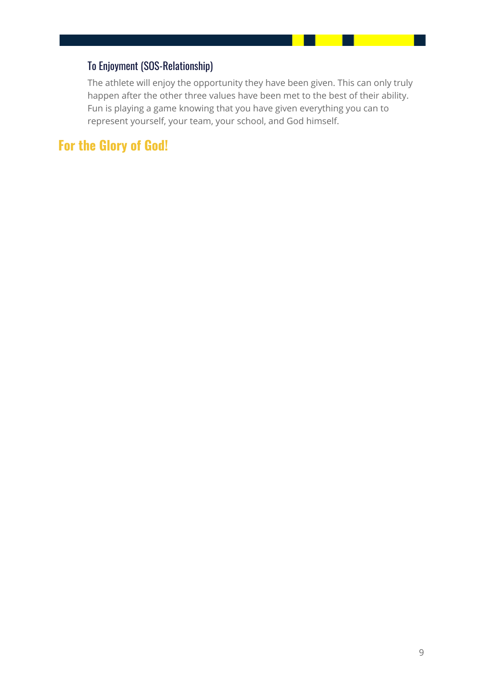### <span id="page-9-0"></span>To Enjoyment (SOS-Relationship)

The athlete will enjoy the opportunity they have been given. This can only truly happen after the other three values have been met to the best of their ability. Fun is playing a game knowing that you have given everything you can to represent yourself, your team, your school, and God himself.

### <span id="page-9-1"></span>**For the Glory of God!**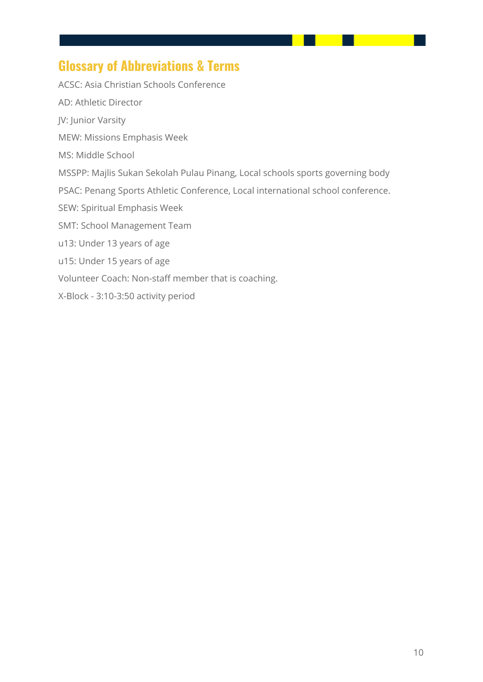### <span id="page-10-0"></span>**Glossary of Abbreviations & Terms**

ACSC: Asia Christian Schools Conference AD: Athletic Director JV: Junior Varsity MEW: Missions Emphasis Week MS: Middle School MSSPP: Majlis Sukan Sekolah Pulau Pinang, Local schools sports governing body PSAC: Penang Sports Athletic Conference, Local international school conference. SEW: Spiritual Emphasis Week SMT: School Management Team u13: Under 13 years of age u15: Under 15 years of age Volunteer Coach: Non-staff member that is coaching. X-Block - 3:10-3:50 activity period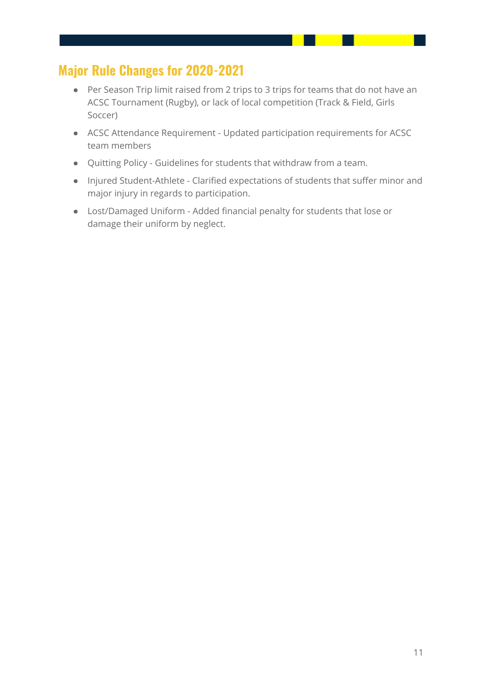### <span id="page-11-0"></span>**Major Rule Changes for 2020-2021**

- Per Season Trip limit raised from 2 trips to 3 trips for teams that do not have an ACSC Tournament (Rugby), or lack of local competition (Track & Field, Girls Soccer)
- ACSC Attendance Requirement Updated participation requirements for ACSC team members
- Quitting Policy Guidelines for students that withdraw from a team.
- Injured Student-Athlete Clarified expectations of students that suffer minor and major injury in regards to participation.
- Lost/Damaged Uniform Added financial penalty for students that lose or damage their uniform by neglect.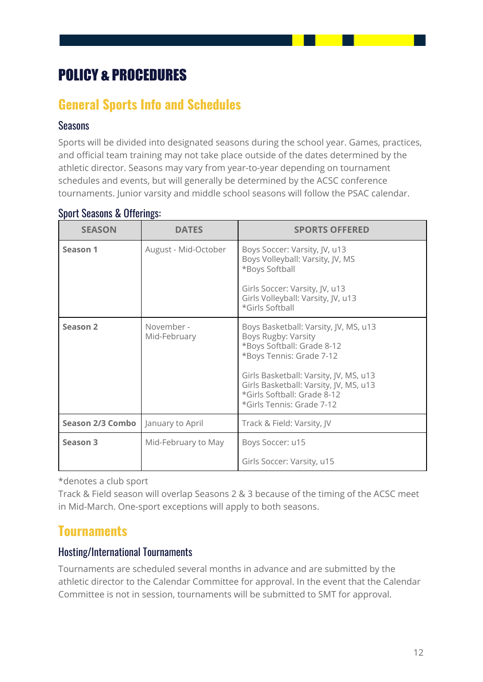# <span id="page-12-0"></span>POLICY & PROCEDURES

### <span id="page-12-1"></span>**General Sports Info and Schedules**

#### <span id="page-12-2"></span>Seasons

Sports will be divided into designated seasons during the school year. Games, practices, and official team training may not take place outside of the dates determined by the athletic director. Seasons may vary from year-to-year depending on tournament schedules and events, but will generally be determined by the ACSC conference tournaments. Junior varsity and middle school seasons will follow the PSAC calendar.

| <b>SEASON</b>           | <b>DATES</b>               | <b>SPORTS OFFERED</b>                                                                                                                                                                                                                                                  |
|-------------------------|----------------------------|------------------------------------------------------------------------------------------------------------------------------------------------------------------------------------------------------------------------------------------------------------------------|
| Season 1                | August - Mid-October       | Boys Soccer: Varsity, JV, u13<br>Boys Volleyball: Varsity, JV, MS<br>*Boys Softball<br>Girls Soccer: Varsity, JV, u13<br>Girls Volleyball: Varsity, JV, u13<br>*Girls Softball                                                                                         |
| Season 2                | November -<br>Mid-February | Boys Basketball: Varsity, JV, MS, u13<br>Boys Rugby: Varsity<br>*Boys Softball: Grade 8-12<br>*Boys Tennis: Grade 7-12<br>Girls Basketball: Varsity, JV, MS, u13<br>Girls Basketball: Varsity, JV, MS, u13<br>*Girls Softball: Grade 8-12<br>*Girls Tennis: Grade 7-12 |
| <b>Season 2/3 Combo</b> | January to April           | Track & Field: Varsity, JV                                                                                                                                                                                                                                             |
| Season 3                | Mid-February to May        | Boys Soccer: u15                                                                                                                                                                                                                                                       |
|                         |                            | Girls Soccer: Varsity, u15                                                                                                                                                                                                                                             |

#### <span id="page-12-3"></span>Sport Seasons & Offerings:

\*denotes a club sport

Track & Field season will overlap Seasons 2 & 3 because of the timing of the ACSC meet in Mid-March. One-sport exceptions will apply to both seasons.

### <span id="page-12-4"></span>**Tournaments**

### <span id="page-12-5"></span>Hosting/International Tournaments

Tournaments are scheduled several months in advance and are submitted by the athletic director to the Calendar Committee for approval. In the event that the Calendar Committee is not in session, tournaments will be submitted to SMT for approval.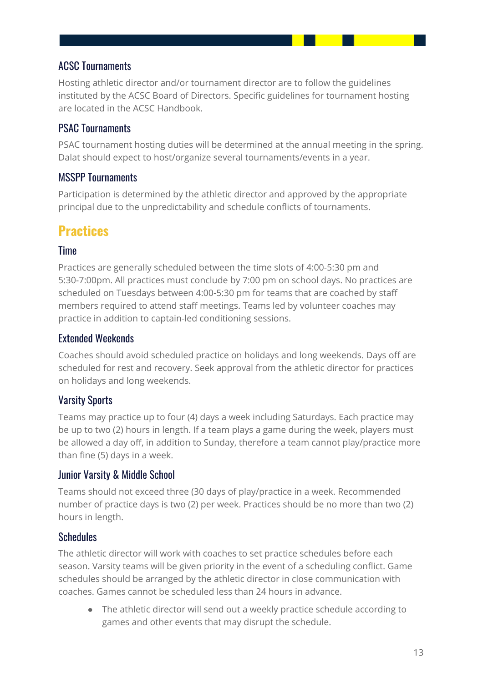### <span id="page-13-0"></span>ACSC Tournaments

Hosting athletic director and/or tournament director are to follow the guidelines instituted by the ACSC Board of Directors. Specific guidelines for tournament hosting are located in the ACSC Handbook.

### <span id="page-13-1"></span>PSAC Tournaments

PSAC tournament hosting duties will be determined at the annual meeting in the spring. Dalat should expect to host/organize several tournaments/events in a year.

### <span id="page-13-2"></span>MSSPP Tournaments

Participation is determined by the athletic director and approved by the appropriate principal due to the unpredictability and schedule conflicts of tournaments.

## <span id="page-13-3"></span>**Practices**

### <span id="page-13-4"></span>**Time**

Practices are generally scheduled between the time slots of 4:00-5:30 pm and 5:30-7:00pm. All practices must conclude by 7:00 pm on school days. No practices are scheduled on Tuesdays between 4:00-5:30 pm for teams that are coached by staff members required to attend staff meetings. Teams led by volunteer coaches may practice in addition to captain-led conditioning sessions.

### <span id="page-13-5"></span>Extended Weekends

Coaches should avoid scheduled practice on holidays and long weekends. Days off are scheduled for rest and recovery. Seek approval from the athletic director for practices on holidays and long weekends.

### <span id="page-13-6"></span>Varsity Sports

Teams may practice up to four (4) days a week including Saturdays. Each practice may be up to two (2) hours in length. If a team plays a game during the week, players must be allowed a day off, in addition to Sunday, therefore a team cannot play/practice more than fine (5) days in a week.

### <span id="page-13-7"></span>Junior Varsity & Middle School

Teams should not exceed three (30 days of play/practice in a week. Recommended number of practice days is two (2) per week. Practices should be no more than two (2) hours in length.

### <span id="page-13-8"></span>**Schedules**

The athletic director will work with coaches to set practice schedules before each season. Varsity teams will be given priority in the event of a scheduling conflict. Game schedules should be arranged by the athletic director in close communication with coaches. Games cannot be scheduled less than 24 hours in advance.

● The athletic director will send out a weekly practice schedule according to games and other events that may disrupt the schedule.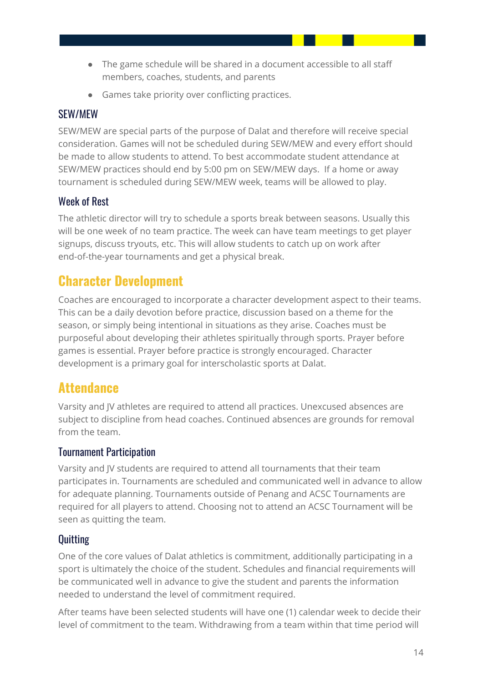- The game schedule will be shared in a document accessible to all staff members, coaches, students, and parents
- Games take priority over conflicting practices.

### <span id="page-14-0"></span>SEW/MEW

SEW/MEW are special parts of the purpose of Dalat and therefore will receive special consideration. Games will not be scheduled during SEW/MEW and every effort should be made to allow students to attend. To best accommodate student attendance at SEW/MEW practices should end by 5:00 pm on SEW/MEW days. If a home or away tournament is scheduled during SEW/MEW week, teams will be allowed to play.

### <span id="page-14-1"></span>Week of Rest

The athletic director will try to schedule a sports break between seasons. Usually this will be one week of no team practice. The week can have team meetings to get player signups, discuss tryouts, etc. This will allow students to catch up on work after end-of-the-year tournaments and get a physical break.

### <span id="page-14-2"></span>**Character Development**

Coaches are encouraged to incorporate a character development aspect to their teams. This can be a daily devotion before practice, discussion based on a theme for the season, or simply being intentional in situations as they arise. Coaches must be purposeful about developing their athletes spiritually through sports. Prayer before games is essential. Prayer before practice is strongly encouraged. Character development is a primary goal for interscholastic sports at Dalat.

### <span id="page-14-3"></span>**Attendance**

Varsity and JV athletes are required to attend all practices. Unexcused absences are subject to discipline from head coaches. Continued absences are grounds for removal from the team.

### <span id="page-14-4"></span>Tournament Participation

Varsity and JV students are required to attend all tournaments that their team participates in. Tournaments are scheduled and communicated well in advance to allow for adequate planning. Tournaments outside of Penang and ACSC Tournaments are required for all players to attend. Choosing not to attend an ACSC Tournament will be seen as quitting the team.

### <span id="page-14-5"></span>**Quitting**

One of the core values of Dalat athletics is commitment, additionally participating in a sport is ultimately the choice of the student. Schedules and financial requirements will be communicated well in advance to give the student and parents the information needed to understand the level of commitment required.

After teams have been selected students will have one (1) calendar week to decide their level of commitment to the team. Withdrawing from a team within that time period will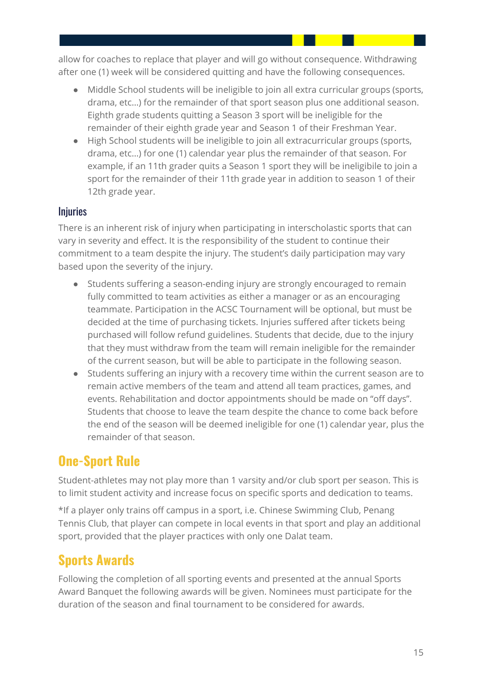allow for coaches to replace that player and will go without consequence. Withdrawing after one (1) week will be considered quitting and have the following consequences.

- Middle School students will be ineligible to join all extra curricular groups (sports, drama, etc…) for the remainder of that sport season plus one additional season. Eighth grade students quitting a Season 3 sport will be ineligible for the remainder of their eighth grade year and Season 1 of their Freshman Year.
- High School students will be ineligible to join all extracurricular groups (sports, drama, etc…) for one (1) calendar year plus the remainder of that season. For example, if an 11th grader quits a Season 1 sport they will be ineligibile to join a sport for the remainder of their 11th grade year in addition to season 1 of their 12th grade year.

### <span id="page-15-0"></span>**Injuries**

There is an inherent risk of injury when participating in interscholastic sports that can vary in severity and effect. It is the responsibility of the student to continue their commitment to a team despite the injury. The student's daily participation may vary based upon the severity of the injury.

- Students suffering a season-ending injury are strongly encouraged to remain fully committed to team activities as either a manager or as an encouraging teammate. Participation in the ACSC Tournament will be optional, but must be decided at the time of purchasing tickets. Injuries suffered after tickets being purchased will follow refund guidelines. Students that decide, due to the injury that they must withdraw from the team will remain ineligible for the remainder of the current season, but will be able to participate in the following season.
- Students suffering an injury with a recovery time within the current season are to remain active members of the team and attend all team practices, games, and events. Rehabilitation and doctor appointments should be made on "off days". Students that choose to leave the team despite the chance to come back before the end of the season will be deemed ineligible for one (1) calendar year, plus the remainder of that season.

# <span id="page-15-1"></span>**One-Sport Rule**

Student-athletes may not play more than 1 varsity and/or club sport per season. This is to limit student activity and increase focus on specific sports and dedication to teams.

\*If a player only trains off campus in a sport, i.e. Chinese Swimming Club, Penang Tennis Club, that player can compete in local events in that sport and play an additional sport, provided that the player practices with only one Dalat team.

### <span id="page-15-2"></span>**Sports Awards**

Following the completion of all sporting events and presented at the annual Sports Award Banquet the following awards will be given. Nominees must participate for the duration of the season and final tournament to be considered for awards.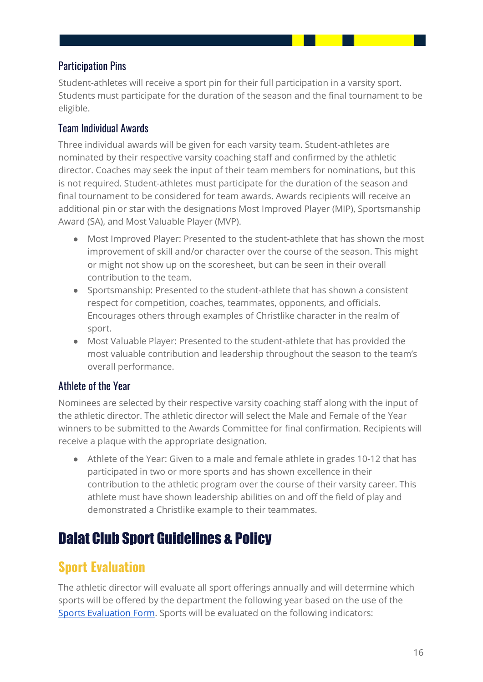### <span id="page-16-0"></span>Participation Pins

Student-athletes will receive a sport pin for their full participation in a varsity sport. Students must participate for the duration of the season and the final tournament to be eligible.

### <span id="page-16-1"></span>Team Individual Awards

Three individual awards will be given for each varsity team. Student-athletes are nominated by their respective varsity coaching staff and confirmed by the athletic director. Coaches may seek the input of their team members for nominations, but this is not required. Student-athletes must participate for the duration of the season and final tournament to be considered for team awards. Awards recipients will receive an additional pin or star with the designations Most Improved Player (MIP), Sportsmanship Award (SA), and Most Valuable Player (MVP).

- Most Improved Player: Presented to the student-athlete that has shown the most improvement of skill and/or character over the course of the season. This might or might not show up on the scoresheet, but can be seen in their overall contribution to the team.
- Sportsmanship: Presented to the student-athlete that has shown a consistent respect for competition, coaches, teammates, opponents, and officials. Encourages others through examples of Christlike character in the realm of sport.
- Most Valuable Player: Presented to the student-athlete that has provided the most valuable contribution and leadership throughout the season to the team's overall performance.

### <span id="page-16-2"></span>Athlete of the Year

Nominees are selected by their respective varsity coaching staff along with the input of the athletic director. The athletic director will select the Male and Female of the Year winners to be submitted to the Awards Committee for final confirmation. Recipients will receive a plaque with the appropriate designation.

● Athlete of the Year: Given to a male and female athlete in grades 10-12 that has participated in two or more sports and has shown excellence in their contribution to the athletic program over the course of their varsity career. This athlete must have shown leadership abilities on and off the field of play and demonstrated a Christlike example to their teammates.

# <span id="page-16-3"></span>Dalat Club Sport Guidelines & Policy

### <span id="page-16-4"></span>**Sport Evaluation**

The athletic director will evaluate all sport offerings annually and will determine which sports will be offered by the department the following year based on the use of the Sports [Evaluation](https://docs.google.com/spreadsheets/d/1nHOK_GQoFvm0cdF22Em1oHKiXXZTiZaiqAi-4Bt-w-A/edit#gid=0) Form. Sports will be evaluated on the following indicators: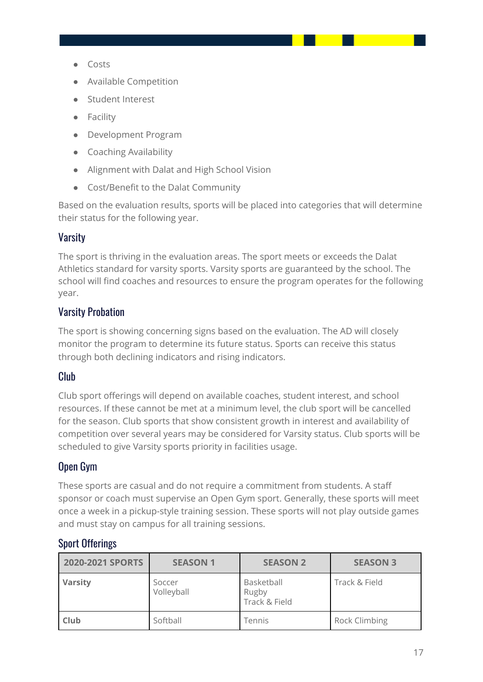- Costs
- Available Competition
- Student Interest
- Facility
- Development Program
- Coaching Availability
- Alignment with Dalat and High School Vision
- Cost/Benefit to the Dalat Community

Based on the evaluation results, sports will be placed into categories that will determine their status for the following year.

### <span id="page-17-0"></span>Varsity

The sport is thriving in the evaluation areas. The sport meets or exceeds the Dalat Athletics standard for varsity sports. Varsity sports are guaranteed by the school. The school will find coaches and resources to ensure the program operates for the following year.

### <span id="page-17-1"></span>Varsity Probation

The sport is showing concerning signs based on the evaluation. The AD will closely monitor the program to determine its future status. Sports can receive this status through both declining indicators and rising indicators.

#### <span id="page-17-2"></span>Club

Club sport offerings will depend on available coaches, student interest, and school resources. If these cannot be met at a minimum level, the club sport will be cancelled for the season. Club sports that show consistent growth in interest and availability of competition over several years may be considered for Varsity status. Club sports will be scheduled to give Varsity sports priority in facilities usage.

### <span id="page-17-3"></span>Open Gym

These sports are casual and do not require a commitment from students. A staff sponsor or coach must supervise an Open Gym sport. Generally, these sports will meet once a week in a pickup-style training session. These sports will not play outside games and must stay on campus for all training sessions.

#### <span id="page-17-4"></span>Sport Offerings

| 2020-2021 SPORTS | <b>SEASON 1</b>      | <b>SEASON 2</b>                      | <b>SEASON 3</b>      |
|------------------|----------------------|--------------------------------------|----------------------|
| <b>Varsity</b>   | Soccer<br>Volleyball | Basketball<br>Rugby<br>Track & Field | Track & Field        |
| <b>Club</b>      | Softball             | Tennis                               | <b>Rock Climbing</b> |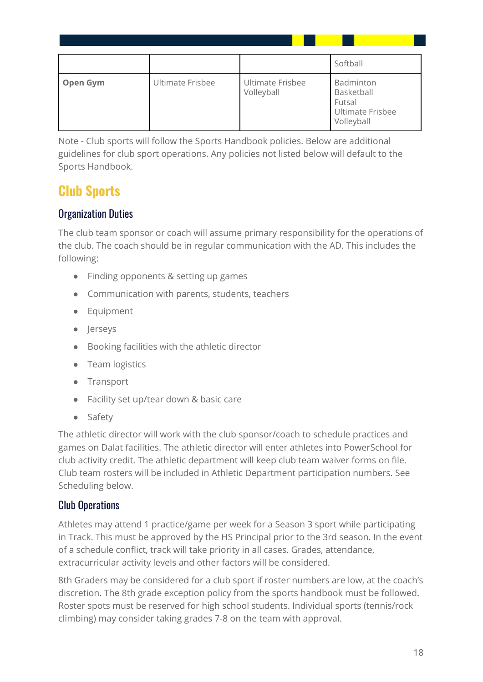|                 |                  |                                | Softball                                                                   |
|-----------------|------------------|--------------------------------|----------------------------------------------------------------------------|
| <b>Open Gym</b> | Ultimate Frisbee | Ultimate Frisbee<br>Volleyball | Badminton<br>Basketball<br>Futsal<br><b>Ultimate Frisbee</b><br>Volleyball |

Note - Club sports will follow the Sports Handbook policies. Below are additional guidelines for club sport operations. Any policies not listed below will default to the Sports Handbook.

## <span id="page-18-0"></span>**Club Sports**

### <span id="page-18-1"></span>Organization Duties

The club team sponsor or coach will assume primary responsibility for the operations of the club. The coach should be in regular communication with the AD. This includes the following:

- Finding opponents & setting up games
- Communication with parents, students, teachers
- Equipment
- Jerseys
- Booking facilities with the athletic director
- Team logistics
- Transport
- Facility set up/tear down & basic care
- Safety

The athletic director will work with the club sponsor/coach to schedule practices and games on Dalat facilities. The athletic director will enter athletes into PowerSchool for club activity credit. The athletic department will keep club team waiver forms on file. Club team rosters will be included in Athletic Department participation numbers. See Scheduling below.

### <span id="page-18-2"></span>Club Operations

Athletes may attend 1 practice/game per week for a Season 3 sport while participating in Track. This must be approved by the HS Principal prior to the 3rd season. In the event of a schedule conflict, track will take priority in all cases. Grades, attendance, extracurricular activity levels and other factors will be considered.

8th Graders may be considered for a club sport if roster numbers are low, at the coach's discretion. The 8th grade exception policy from the sports handbook must be followed. Roster spots must be reserved for high school students. Individual sports (tennis/rock climbing) may consider taking grades 7-8 on the team with approval.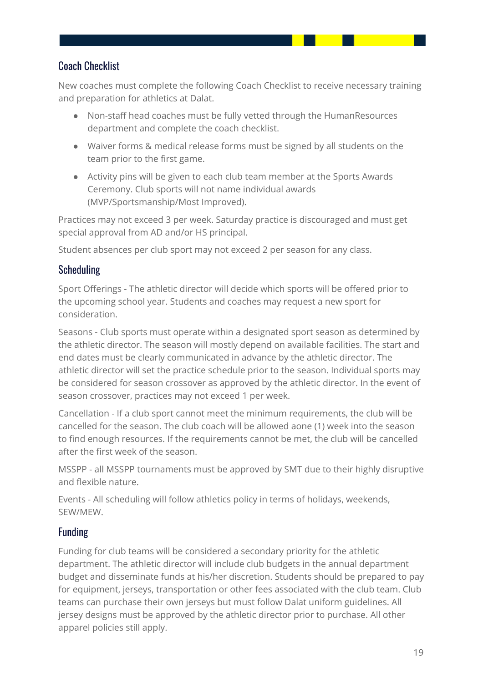### <span id="page-19-0"></span>Coach Checklist

New coaches must complete the following Coach Checklist to receive necessary training and preparation for athletics at Dalat.

- Non-staff head coaches must be fully vetted through the HumanResources department and complete the coach checklist.
- Waiver forms & medical release forms must be signed by all students on the team prior to the first game.
- Activity pins will be given to each club team member at the Sports Awards Ceremony. Club sports will not name individual awards (MVP/Sportsmanship/Most Improved).

Practices may not exceed 3 per week. Saturday practice is discouraged and must get special approval from AD and/or HS principal.

Student absences per club sport may not exceed 2 per season for any class.

### <span id="page-19-1"></span>**Scheduling**

Sport Offerings - The athletic director will decide which sports will be offered prior to the upcoming school year. Students and coaches may request a new sport for consideration.

Seasons - Club sports must operate within a designated sport season as determined by the athletic director. The season will mostly depend on available facilities. The start and end dates must be clearly communicated in advance by the athletic director. The athletic director will set the practice schedule prior to the season. Individual sports may be considered for season crossover as approved by the athletic director. In the event of season crossover, practices may not exceed 1 per week.

Cancellation - If a club sport cannot meet the minimum requirements, the club will be cancelled for the season. The club coach will be allowed aone (1) week into the season to find enough resources. If the requirements cannot be met, the club will be cancelled after the first week of the season.

MSSPP - all MSSPP tournaments must be approved by SMT due to their highly disruptive and flexible nature.

Events - All scheduling will follow athletics policy in terms of holidays, weekends, SEW/MEW.

### <span id="page-19-2"></span>Funding

Funding for club teams will be considered a secondary priority for the athletic department. The athletic director will include club budgets in the annual department budget and disseminate funds at his/her discretion. Students should be prepared to pay for equipment, jerseys, transportation or other fees associated with the club team. Club teams can purchase their own jerseys but must follow Dalat uniform guidelines. All jersey designs must be approved by the athletic director prior to purchase. All other apparel policies still apply.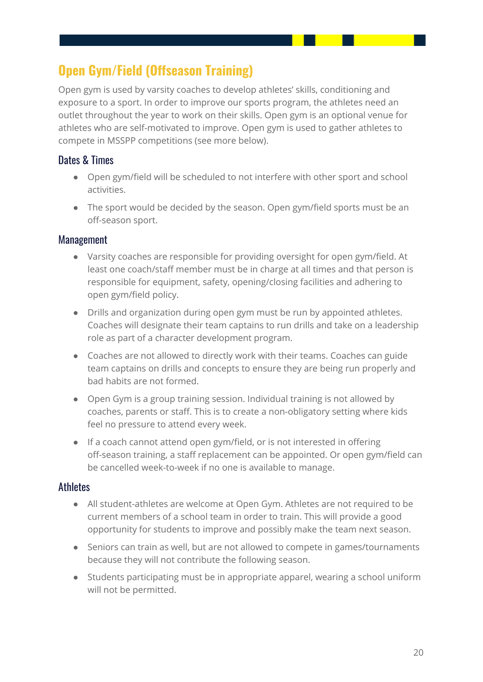# <span id="page-20-0"></span>**Open Gym/Field (Offseason Training)**

Open gym is used by varsity coaches to develop athletes' skills, conditioning and exposure to a sport. In order to improve our sports program, the athletes need an outlet throughout the year to work on their skills. Open gym is an optional venue for athletes who are self-motivated to improve. Open gym is used to gather athletes to compete in MSSPP competitions (see more below).

### <span id="page-20-1"></span>Dates & Times

- Open gym/field will be scheduled to not interfere with other sport and school activities.
- The sport would be decided by the season. Open gym/field sports must be an off-season sport.

### <span id="page-20-2"></span>Management

- Varsity coaches are responsible for providing oversight for open gym/field. At least one coach/staff member must be in charge at all times and that person is responsible for equipment, safety, opening/closing facilities and adhering to open gym/field policy.
- Drills and organization during open gym must be run by appointed athletes. Coaches will designate their team captains to run drills and take on a leadership role as part of a character development program.
- Coaches are not allowed to directly work with their teams. Coaches can guide team captains on drills and concepts to ensure they are being run properly and bad habits are not formed.
- Open Gym is a group training session. Individual training is not allowed by coaches, parents or staff. This is to create a non-obligatory setting where kids feel no pressure to attend every week.
- If a coach cannot attend open gym/field, or is not interested in offering off-season training, a staff replacement can be appointed. Or open gym/field can be cancelled week-to-week if no one is available to manage.

### <span id="page-20-3"></span>Athletes

- All student-athletes are welcome at Open Gym. Athletes are not required to be current members of a school team in order to train. This will provide a good opportunity for students to improve and possibly make the team next season.
- Seniors can train as well, but are not allowed to compete in games/tournaments because they will not contribute the following season.
- Students participating must be in appropriate apparel, wearing a school uniform will not be permitted.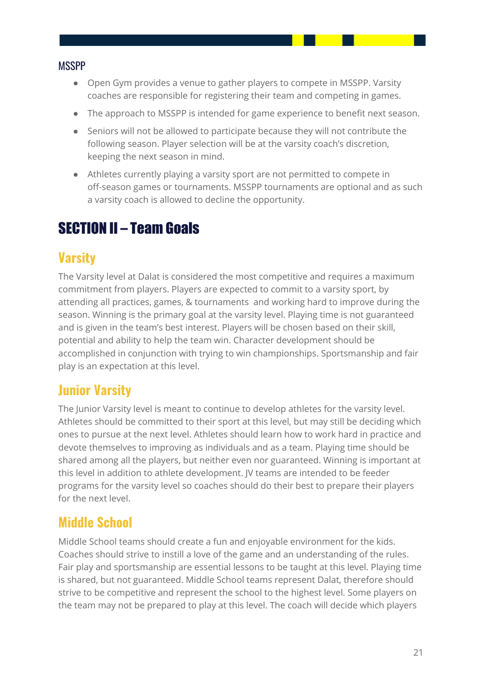#### <span id="page-21-0"></span>**MSSPP**

- Open Gym provides a venue to gather players to compete in MSSPP. Varsity coaches are responsible for registering their team and competing in games.
- The approach to MSSPP is intended for game experience to benefit next season.
- Seniors will not be allowed to participate because they will not contribute the following season. Player selection will be at the varsity coach's discretion, keeping the next season in mind.
- Athletes currently playing a varsity sport are not permitted to compete in off-season games or tournaments. MSSPP tournaments are optional and as such a varsity coach is allowed to decline the opportunity.

# <span id="page-21-1"></span>SECTION II – Team Goals

### <span id="page-21-2"></span>**Varsity**

The Varsity level at Dalat is considered the most competitive and requires a maximum commitment from players. Players are expected to commit to a varsity sport, by attending all practices, games, & tournaments and working hard to improve during the season. Winning is the primary goal at the varsity level. Playing time is not guaranteed and is given in the team's best interest. Players will be chosen based on their skill, potential and ability to help the team win. Character development should be accomplished in conjunction with trying to win championships. Sportsmanship and fair play is an expectation at this level.

### <span id="page-21-3"></span>**Junior Varsity**

The Junior Varsity level is meant to continue to develop athletes for the varsity level. Athletes should be committed to their sport at this level, but may still be deciding which ones to pursue at the next level. Athletes should learn how to work hard in practice and devote themselves to improving as individuals and as a team. Playing time should be shared among all the players, but neither even nor guaranteed. Winning is important at this level in addition to athlete development. JV teams are intended to be feeder programs for the varsity level so coaches should do their best to prepare their players for the next level.

### <span id="page-21-4"></span>**Middle School**

Middle School teams should create a fun and enjoyable environment for the kids. Coaches should strive to instill a love of the game and an understanding of the rules. Fair play and sportsmanship are essential lessons to be taught at this level. Playing time is shared, but not guaranteed. Middle School teams represent Dalat, therefore should strive to be competitive and represent the school to the highest level. Some players on the team may not be prepared to play at this level. The coach will decide which players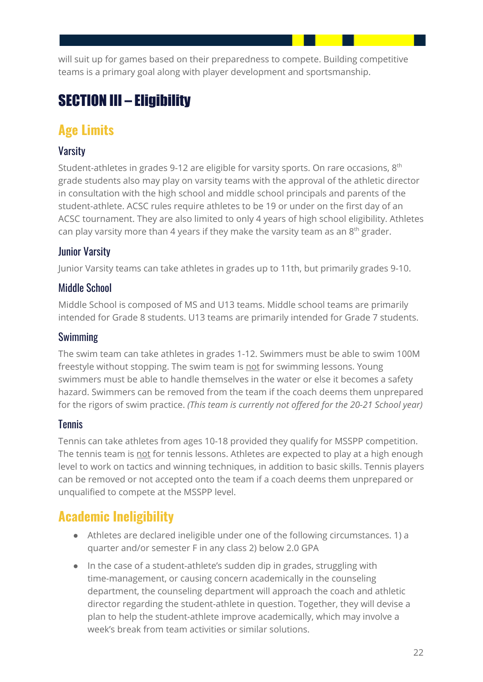will suit up for games based on their preparedness to compete. Building competitive teams is a primary goal along with player development and sportsmanship.

# <span id="page-22-0"></span>SECTION III – Eligibility

# <span id="page-22-1"></span>**Age Limits**

### <span id="page-22-2"></span>Varsity

Student-athletes in grades 9-12 are eligible for varsity sports. On rare occasions,  $8^{\rm th}$ grade students also may play on varsity teams with the approval of the athletic director in consultation with the high school and middle school principals and parents of the student-athlete. ACSC rules require athletes to be 19 or under on the first day of an ACSC tournament. They are also limited to only 4 years of high school eligibility. Athletes can play varsity more than 4 years if they make the varsity team as an  $8<sup>th</sup>$  grader.

### <span id="page-22-3"></span>Junior Varsity

Junior Varsity teams can take athletes in grades up to 11th, but primarily grades 9-10.

### <span id="page-22-4"></span>Middle School

Middle School is composed of MS and U13 teams. Middle school teams are primarily intended for Grade 8 students. U13 teams are primarily intended for Grade 7 students.

### <span id="page-22-5"></span>Swimming

The swim team can take athletes in grades 1-12. Swimmers must be able to swim 100M freestyle without stopping. The swim team is not for swimming lessons. Young swimmers must be able to handle themselves in the water or else it becomes a safety hazard. Swimmers can be removed from the team if the coach deems them unprepared for the rigors of swim practice. *(This team is currently not offered for the 20-21 School year)*

### <span id="page-22-6"></span>**Tennis**

Tennis can take athletes from ages 10-18 provided they qualify for MSSPP competition. The tennis team is not for tennis lessons. Athletes are expected to play at a high enough level to work on tactics and winning techniques, in addition to basic skills. Tennis players can be removed or not accepted onto the team if a coach deems them unprepared or unqualified to compete at the MSSPP level.

# <span id="page-22-7"></span>**Academic Ineligibility**

- Athletes are declared ineligible under one of the following circumstances. 1) a quarter and/or semester F in any class 2) below 2.0 GPA
- In the case of a student-athlete's sudden dip in grades, struggling with time-management, or causing concern academically in the counseling department, the counseling department will approach the coach and athletic director regarding the student-athlete in question. Together, they will devise a plan to help the student-athlete improve academically, which may involve a week's break from team activities or similar solutions.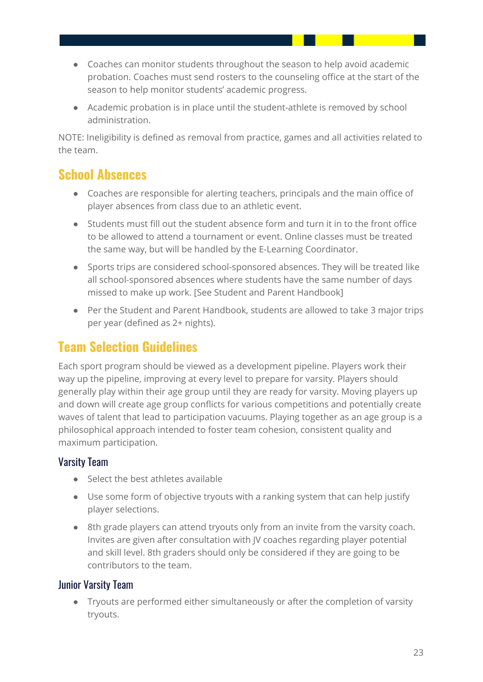- Coaches can monitor students throughout the season to help avoid academic probation. Coaches must send rosters to the counseling office at the start of the season to help monitor students' academic progress.
- Academic probation is in place until the student-athlete is removed by school administration.

NOTE: Ineligibility is defined as removal from practice, games and all activities related to the team.

### <span id="page-23-0"></span>**School Absences**

- Coaches are responsible for alerting teachers, principals and the main office of player absences from class due to an athletic event.
- Students must fill out the student absence form and turn it in to the front office to be allowed to attend a tournament or event. Online classes must be treated the same way, but will be handled by the E-Learning Coordinator.
- Sports trips are considered school-sponsored absences. They will be treated like all school-sponsored absences where students have the same number of days missed to make up work. [See Student and Parent Handbook]
- Per the Student and Parent Handbook, students are allowed to take 3 major trips per year (defined as 2+ nights).

### <span id="page-23-1"></span>**Team Selection Guidelines**

Each sport program should be viewed as a development pipeline. Players work their way up the pipeline, improving at every level to prepare for varsity. Players should generally play within their age group until they are ready for varsity. Moving players up and down will create age group conflicts for various competitions and potentially create waves of talent that lead to participation vacuums. Playing together as an age group is a philosophical approach intended to foster team cohesion, consistent quality and maximum participation.

### <span id="page-23-2"></span>Varsity Team

- Select the best athletes available
- Use some form of objective tryouts with a ranking system that can help justify player selections.
- 8th grade players can attend tryouts only from an invite from the varsity coach. Invites are given after consultation with JV coaches regarding player potential and skill level. 8th graders should only be considered if they are going to be contributors to the team.

### <span id="page-23-3"></span>Junior Varsity Team

● Tryouts are performed either simultaneously or after the completion of varsity tryouts.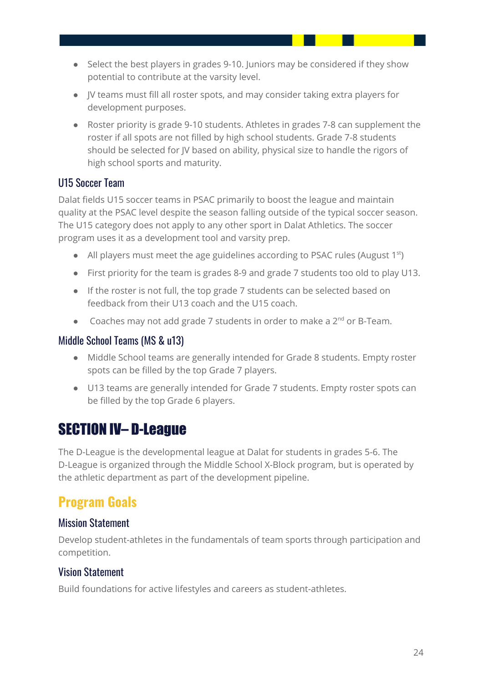- Select the best players in grades 9-10. Juniors may be considered if they show potential to contribute at the varsity level.
- JV teams must fill all roster spots, and may consider taking extra players for development purposes.
- Roster priority is grade 9-10 students. Athletes in grades 7-8 can supplement the roster if all spots are not filled by high school students. Grade 7-8 students should be selected for JV based on ability, physical size to handle the rigors of high school sports and maturity.

### <span id="page-24-0"></span>U15 Soccer Team

Dalat fields U15 soccer teams in PSAC primarily to boost the league and maintain quality at the PSAC level despite the season falling outside of the typical soccer season. The U15 category does not apply to any other sport in Dalat Athletics. The soccer program uses it as a development tool and varsity prep.

- All players must meet the age guidelines according to PSAC rules (August 1<sup>st</sup>)
- First priority for the team is grades 8-9 and grade 7 students too old to play U13.
- If the roster is not full, the top grade 7 students can be selected based on feedback from their U13 coach and the U15 coach.
- Coaches may not add grade 7 students in order to make a  $2^{nd}$  or B-Team.

#### <span id="page-24-1"></span>Middle School Teams (MS & u13)

- Middle School teams are generally intended for Grade 8 students. Empty roster spots can be filled by the top Grade 7 players.
- U13 teams are generally intended for Grade 7 students. Empty roster spots can be filled by the top Grade 6 players.

# <span id="page-24-2"></span>SECTION IV– D-League

The D-League is the developmental league at Dalat for students in grades 5-6. The D-League is organized through the Middle School X-Block program, but is operated by the athletic department as part of the development pipeline.

# <span id="page-24-3"></span>**Program Goals**

### <span id="page-24-4"></span>Mission Statement

Develop student-athletes in the fundamentals of team sports through participation and competition.

### <span id="page-24-5"></span>Vision Statement

Build foundations for active lifestyles and careers as student-athletes.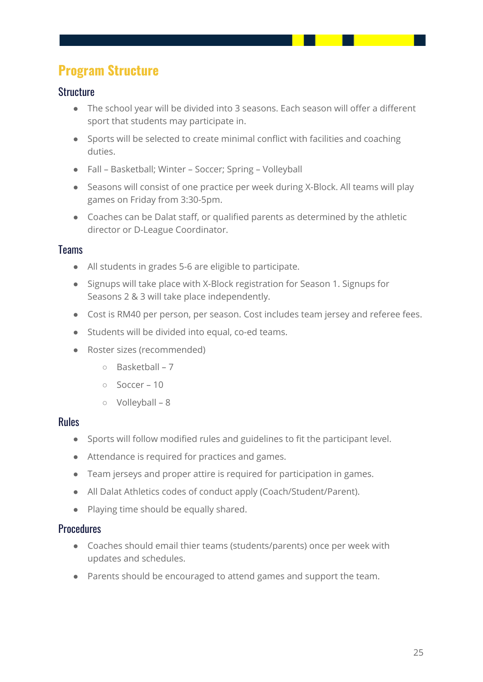# <span id="page-25-0"></span>**Program Structure**

### <span id="page-25-1"></span>**Structure**

- The school year will be divided into 3 seasons. Each season will offer a different sport that students may participate in.
- Sports will be selected to create minimal conflict with facilities and coaching duties.
- Fall Basketball; Winter Soccer; Spring Volleyball
- Seasons will consist of one practice per week during X-Block. All teams will play games on Friday from 3:30-5pm.
- Coaches can be Dalat staff, or qualified parents as determined by the athletic director or D-League Coordinator.

### <span id="page-25-2"></span>**Teams**

- All students in grades 5-6 are eligible to participate.
- Signups will take place with X-Block registration for Season 1. Signups for Seasons 2 & 3 will take place independently.
- Cost is RM40 per person, per season. Cost includes team jersey and referee fees.
- Students will be divided into equal, co-ed teams.
- Roster sizes (recommended)
	- Basketball 7
	- Soccer 10
	- Volleyball 8

#### <span id="page-25-3"></span>Rules

- Sports will follow modified rules and guidelines to fit the participant level.
- Attendance is required for practices and games.
- Team jerseys and proper attire is required for participation in games.
- All Dalat Athletics codes of conduct apply (Coach/Student/Parent).
- Playing time should be equally shared.

#### <span id="page-25-4"></span>**Procedures**

- Coaches should email thier teams (students/parents) once per week with updates and schedules.
- Parents should be encouraged to attend games and support the team.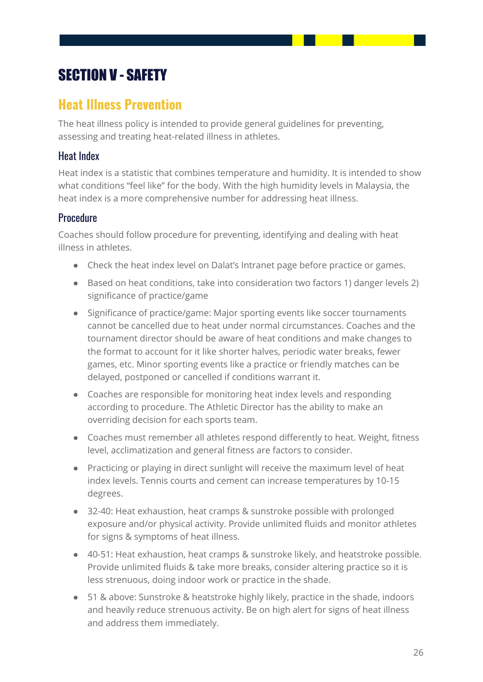# <span id="page-26-0"></span>SECTION V - SAFETY

### <span id="page-26-1"></span>**Heat Illness Prevention**

The heat illness policy is intended to provide general guidelines for preventing, assessing and treating heat-related illness in athletes.

### <span id="page-26-2"></span>Heat Index

Heat index is a statistic that combines temperature and humidity. It is intended to show what conditions "feel like" for the body. With the high humidity levels in Malaysia, the heat index is a more comprehensive number for addressing heat illness.

### <span id="page-26-3"></span>**Procedure**

Coaches should follow procedure for preventing, identifying and dealing with heat illness in athletes.

- Check the heat index level on Dalat's Intranet page before practice or games.
- Based on heat conditions, take into consideration two factors 1) danger levels 2) significance of practice/game
- Significance of practice/game: Major sporting events like soccer tournaments cannot be cancelled due to heat under normal circumstances. Coaches and the tournament director should be aware of heat conditions and make changes to the format to account for it like shorter halves, periodic water breaks, fewer games, etc. Minor sporting events like a practice or friendly matches can be delayed, postponed or cancelled if conditions warrant it.
- Coaches are responsible for monitoring heat index levels and responding according to procedure. The Athletic Director has the ability to make an overriding decision for each sports team.
- Coaches must remember all athletes respond differently to heat. Weight, fitness level, acclimatization and general fitness are factors to consider.
- Practicing or playing in direct sunlight will receive the maximum level of heat index levels. Tennis courts and cement can increase temperatures by 10-15 degrees.
- 32-40: Heat exhaustion, heat cramps & sunstroke possible with prolonged exposure and/or physical activity. Provide unlimited fluids and monitor athletes for signs & symptoms of heat illness.
- 40-51: Heat exhaustion, heat cramps & sunstroke likely, and heatstroke possible. Provide unlimited fluids & take more breaks, consider altering practice so it is less strenuous, doing indoor work or practice in the shade.
- 51 & above: Sunstroke & heatstroke highly likely, practice in the shade, indoors and heavily reduce strenuous activity. Be on high alert for signs of heat illness and address them immediately.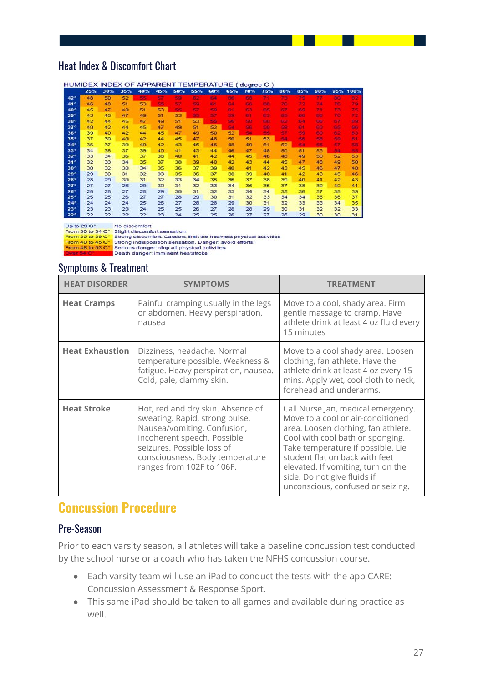### <span id="page-27-0"></span>Heat Index & Discomfort Chart

|              | HUMIDEX INDEX OF APPARENT TEMPERATURE (degree C) |     |     |     |     |     |     |     |             |           |            |     |     |           |     |            |
|--------------|--------------------------------------------------|-----|-----|-----|-----|-----|-----|-----|-------------|-----------|------------|-----|-----|-----------|-----|------------|
|              | 25%                                              | 30% | 35% | 40% | 45% | 50% | 55% | 60% | 65%         | 70%       | 75%        | 80% | 85% | 90%       | 95% | 100%       |
| 42°          | 48                                               | 50  | 52  | E E | 57  | 天保  | F.  | 64  | <b>FIRE</b> | 68        |            | 73  | 75  | 77        | 80  |            |
| $41^\circ$   | 46                                               | 48  | 51  | 53  | s.  | - 7 | ss. | юŦ  | 63          | <b>SE</b> | <b>FRE</b> | 70. | 22  | 73        | 76  | 79         |
| 40°          | 45                                               | 47  | 49  | 51  | 53  | 55  | 57  | 59  | 81          | 63        | 客店         | R7. | 69  | 71        | 73  | 75         |
| $39^\circ$   | 43                                               | 45  | 47  | 49  | 51  | 53  | s.  | 97  | 50          | F3        | RS.        | BG. | BB  | 69        | 70  | 72         |
| 38°          | 42                                               | 44  | 45  | 47  | 49  | 51  | 53  | 55  | 56          | 58        | <b>AND</b> | 62  | 64  | e e       | 67  | B.B.       |
| $37^\circ$   | 40                                               | 42  | 44  | 45  | 47  | 49  | 51  | 52  | 54          | S6        | 58         | 59  | 61  | 69        | 65  | <b>Big</b> |
| $36^\circ$   | 39                                               | 40  | 42  | 44  | 45  | 47  | 49  | 50  | 52          | sa.       | 55         | 57  | 59  | 60        | 62  | <b>EG</b>  |
| $35^\circ$   | 37                                               | 39  | 48  | 42  | 44  | 45  | 47  | 48  | 50          | 51        | 53         | 50  | 56  | 58        | 59  | F.         |
| $34^\circ$   | 36                                               | 37  | 39  | 40  | 42  | 43  | 45  | 46  | 48          | 49        | 51         | 52  | S.  | <b>SS</b> | 57  | 59         |
| $33^\circ$   | 34                                               | 36  | 37  | 39  | 40  | 41  | 43  | 44  | 46          | 47        | 48         | 50  | 51  | 53        | 54  | 55         |
| $32^\circ$   | 33                                               | 34  | 36  | 37  | 38  | 40  | 41  | 42  | 44          | 45        | 46         | 48  | 49  | 50        | 52  | 53         |
| $31^\circ$   | 32                                               | 33  | 34  | 35  | 37  | 38  | 39  | 40  | 42          | 43        | 44         | 45  | 47  | 48        | 49  | 50         |
| $30^\circ$   | 30                                               | 32  | 33  | 34  | 35  | 36  | 37  | 39  | 40          | 41        | 42         | 43  | 45  | 46        | 47  | 48         |
| 29°          | 29                                               | 30  | 31  | 32  | 33  | 35  | 36  | 37  | 38          | 39        | 40         | 41  | 42  | 43        | 45  | 46         |
| <b>28°</b>   | 28                                               | 29  | 30  | 31  | 32  | 33  | 34  | 35  | 36          | 37        | 38         | 39  | 40  | 41        | 42  | 43         |
| $27^\circ$   | 27                                               | 27  | 28  | 29  | 30  | 31  | 32  | 33  | 34          | 35        | 36         | 37  | 38  | 39        | 40  | 41         |
| 26°          | 26                                               | 26  | 27  | 28  | 29  | 30  | 31  | 32  | 33          | 34        | 34         | 35  | 36  | 37        | 38  | 39         |
| 25°          | 25                                               | 25  | 26  | 27  | 27  | 28  | 29  | 30  | 31          | 32        | 33         | 34  | 34  | 35        | 36  | 37         |
| $24^\circ$   | 24                                               | 24  | 24  | 25  | 26  | 27  | 28  | 28  | 29          | 30        | 31         | 32  | 33  | 33        | 34  | 35         |
| 23°          | 23                                               | 23  | 23  | 24  | 25  | 25  | 26  | 27  | 28          | 28        | 29         | 30  | 31  | 32        | 32  | 33         |
| $22^{\circ}$ | 22                                               | 22  | 22  | 22  | 23  | 24  | 25  | 25  | 26          | 27        | 27         | 28  | 29  | 30        | 30  | 31         |

Up to  $29^\circ$ No discomfort

Up to 29 C\*<br>
From 30 to 34 C\* Slight discomfort sensation<br>
From 35 to 39 C\* Strong discomfort. Caution: limit the heaviest physical activities<br>
From 40 to 45 C\* Strong indisposition sensation. Danger: avoid efforts<br>
From

#### <span id="page-27-1"></span>Symptoms & Treatment

| <b>HEAT DISORDER</b>   | <b>SYMPTOMS</b>                                                                                                                                                                                                                 | TREATMENT                                                                                                                                                                                                                                                                                                                           |
|------------------------|---------------------------------------------------------------------------------------------------------------------------------------------------------------------------------------------------------------------------------|-------------------------------------------------------------------------------------------------------------------------------------------------------------------------------------------------------------------------------------------------------------------------------------------------------------------------------------|
| <b>Heat Cramps</b>     | Painful cramping usually in the legs<br>or abdomen. Heavy perspiration,<br>nausea                                                                                                                                               | Move to a cool, shady area. Firm<br>gentle massage to cramp. Have<br>athlete drink at least 4 oz fluid every<br>15 minutes                                                                                                                                                                                                          |
| <b>Heat Exhaustion</b> | Dizziness, headache. Normal<br>temperature possible. Weakness &<br>fatigue. Heavy perspiration, nausea.<br>Cold, pale, clammy skin.                                                                                             | Move to a cool shady area. Loosen<br>clothing, fan athlete. Have the<br>athlete drink at least 4 oz every 15<br>mins. Apply wet, cool cloth to neck,<br>forehead and underarms.                                                                                                                                                     |
| <b>Heat Stroke</b>     | Hot, red and dry skin. Absence of<br>sweating. Rapid, strong pulse.<br>Nausea/vomiting. Confusion,<br>incoherent speech. Possible<br>seizures. Possible loss of<br>consciousness. Body temperature<br>ranges from 102F to 106F. | Call Nurse Jan, medical emergency.<br>Move to a cool or air-conditioned<br>area. Loosen clothing, fan athlete.<br>Cool with cool bath or sponging.<br>Take temperature if possible. Lie<br>student flat on back with feet<br>elevated. If vomiting, turn on the<br>side. Do not give fluids if<br>unconscious, confused or seizing. |

### <span id="page-27-2"></span>**Concussion Procedure**

#### <span id="page-27-3"></span>Pre-Season

Prior to each varsity season, all athletes will take a baseline concussion test conducted by the school nurse or a coach who has taken the NFHS concussion course.

- Each varsity team will use an iPad to conduct the tests with the app CARE: Concussion Assessment & Response Sport.
- This same iPad should be taken to all games and available during practice as well.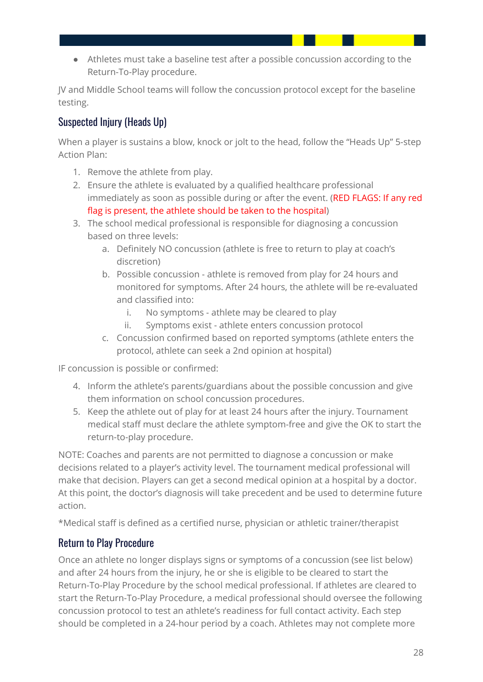● Athletes must take a baseline test after a possible concussion according to the Return-To-Play procedure.

JV and Middle School teams will follow the concussion protocol except for the baseline testing.

### <span id="page-28-0"></span>Suspected Injury (Heads Up)

When a player is sustains a blow, knock or jolt to the head, follow the "Heads Up" 5-step Action Plan:

- 1. Remove the athlete from play.
- 2. Ensure the athlete is evaluated by a qualified healthcare professional immediately as soon as possible during or after the event. (RED FLAGS: If any red flag is present, the athlete should be taken to the hospital)
- 3. The school medical professional is responsible for diagnosing a concussion based on three levels:
	- a. Definitely NO concussion (athlete is free to return to play at coach's discretion)
	- b. Possible concussion athlete is removed from play for 24 hours and monitored for symptoms. After 24 hours, the athlete will be re-evaluated and classified into:
		- i. No symptoms athlete may be cleared to play
		- ii. Symptoms exist athlete enters concussion protocol
	- c. Concussion confirmed based on reported symptoms (athlete enters the protocol, athlete can seek a 2nd opinion at hospital)

IF concussion is possible or confirmed:

- 4. Inform the athlete's parents/guardians about the possible concussion and give them information on school concussion procedures.
- 5. Keep the athlete out of play for at least 24 hours after the injury. Tournament medical staff must declare the athlete symptom-free and give the OK to start the return-to-play procedure.

NOTE: Coaches and parents are not permitted to diagnose a concussion or make decisions related to a player's activity level. The tournament medical professional will make that decision. Players can get a second medical opinion at a hospital by a doctor. At this point, the doctor's diagnosis will take precedent and be used to determine future action.

\*Medical staff is defined as a certified nurse, physician or athletic trainer/therapist

### <span id="page-28-1"></span>Return to Play Procedure

Once an athlete no longer displays signs or symptoms of a concussion (see list below) and after 24 hours from the injury, he or she is eligible to be cleared to start the Return-To-Play Procedure by the school medical professional. If athletes are cleared to start the Return-To-Play Procedure, a medical professional should oversee the following concussion protocol to test an athlete's readiness for full contact activity. Each step should be completed in a 24-hour period by a coach. Athletes may not complete more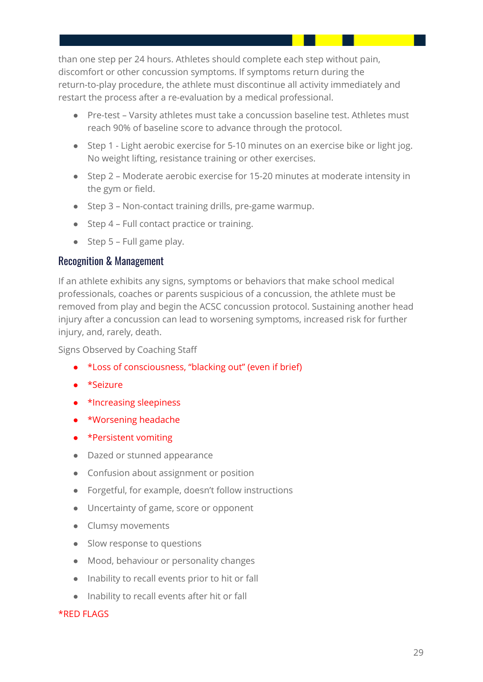than one step per 24 hours. Athletes should complete each step without pain, discomfort or other concussion symptoms. If symptoms return during the return-to-play procedure, the athlete must discontinue all activity immediately and restart the process after a re-evaluation by a medical professional.

- Pre-test Varsity athletes must take a concussion baseline test. Athletes must reach 90% of baseline score to advance through the protocol.
- Step 1 Light aerobic exercise for 5-10 minutes on an exercise bike or light jog. No weight lifting, resistance training or other exercises.
- Step 2 Moderate aerobic exercise for 15-20 minutes at moderate intensity in the gym or field.
- Step 3 Non-contact training drills, pre-game warmup.
- Step 4 Full contact practice or training.
- $\bullet$  Step 5 Full game play.

#### <span id="page-29-0"></span>Recognition & Management

If an athlete exhibits any signs, symptoms or behaviors that make school medical professionals, coaches or parents suspicious of a concussion, the athlete must be removed from play and begin the ACSC concussion protocol. Sustaining another head injury after a concussion can lead to worsening symptoms, increased risk for further injury, and, rarely, death.

Signs Observed by Coaching Staff

- \*Loss of consciousness, "blacking out" (even if brief)
- \*Seizure
- \*Increasing sleepiness
- \*Worsening headache
- \*Persistent vomiting
- Dazed or stunned appearance
- Confusion about assignment or position
- Forgetful, for example, doesn't follow instructions
- Uncertainty of game, score or opponent
- Clumsy movements
- Slow response to questions
- Mood, behaviour or personality changes
- Inability to recall events prior to hit or fall
- Inability to recall events after hit or fall

#### \*RED FLAGS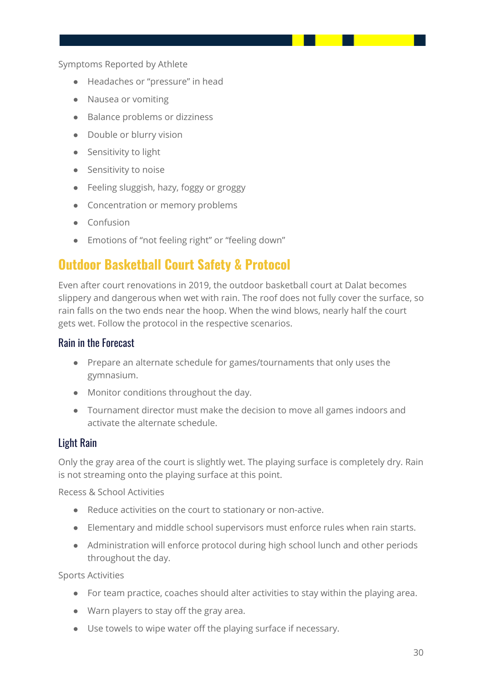Symptoms Reported by Athlete

- Headaches or "pressure" in head
- Nausea or vomiting
- Balance problems or dizziness
- Double or blurry vision
- Sensitivity to light
- Sensitivity to noise
- Feeling sluggish, hazy, foggy or groggy
- Concentration or memory problems
- Confusion
- Emotions of "not feeling right" or "feeling down"

## <span id="page-30-0"></span>**Outdoor Basketball Court Safety & Protocol**

Even after court renovations in 2019, the outdoor basketball court at Dalat becomes slippery and dangerous when wet with rain. The roof does not fully cover the surface, so rain falls on the two ends near the hoop. When the wind blows, nearly half the court gets wet. Follow the protocol in the respective scenarios.

#### <span id="page-30-1"></span>Rain in the Forecast

- Prepare an alternate schedule for games/tournaments that only uses the gymnasium.
- Monitor conditions throughout the day.
- Tournament director must make the decision to move all games indoors and activate the alternate schedule.

### <span id="page-30-2"></span>Light Rain

Only the gray area of the court is slightly wet. The playing surface is completely dry. Rain is not streaming onto the playing surface at this point.

Recess & School Activities

- Reduce activities on the court to stationary or non-active.
- Elementary and middle school supervisors must enforce rules when rain starts.
- Administration will enforce protocol during high school lunch and other periods throughout the day.

Sports Activities

- For team practice, coaches should alter activities to stay within the playing area.
- Warn players to stay off the gray area.
- Use towels to wipe water off the playing surface if necessary.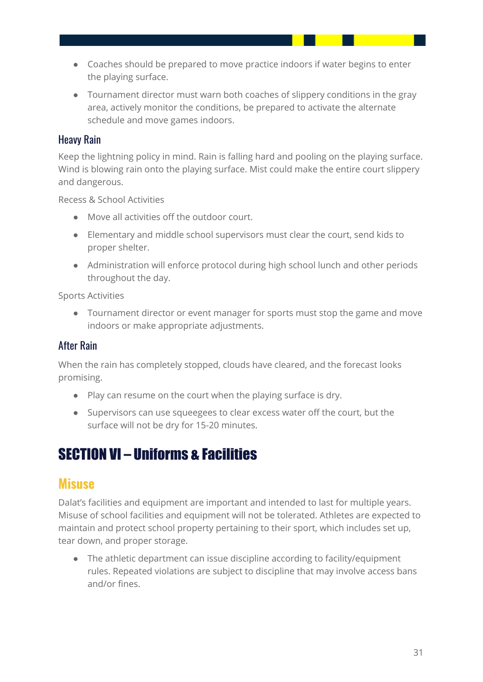- Coaches should be prepared to move practice indoors if water begins to enter the playing surface.
- Tournament director must warn both coaches of slippery conditions in the gray area, actively monitor the conditions, be prepared to activate the alternate schedule and move games indoors.

#### <span id="page-31-0"></span>Heavy Rain

Keep the lightning policy in mind. Rain is falling hard and pooling on the playing surface. Wind is blowing rain onto the playing surface. Mist could make the entire court slippery and dangerous.

Recess & School Activities

- Move all activities off the outdoor court.
- Elementary and middle school supervisors must clear the court, send kids to proper shelter.
- Administration will enforce protocol during high school lunch and other periods throughout the day.

Sports Activities

● Tournament director or event manager for sports must stop the game and move indoors or make appropriate adjustments.

### <span id="page-31-1"></span>After Rain

When the rain has completely stopped, clouds have cleared, and the forecast looks promising.

- Play can resume on the court when the playing surface is dry.
- Supervisors can use squeegees to clear excess water off the court, but the surface will not be dry for 15-20 minutes.

# <span id="page-31-2"></span>SECTION VI – Uniforms & Facilities

### <span id="page-31-3"></span>**Misuse**

Dalat's facilities and equipment are important and intended to last for multiple years. Misuse of school facilities and equipment will not be tolerated. Athletes are expected to maintain and protect school property pertaining to their sport, which includes set up, tear down, and proper storage.

● The athletic department can issue discipline according to facility/equipment rules. Repeated violations are subject to discipline that may involve access bans and/or fines.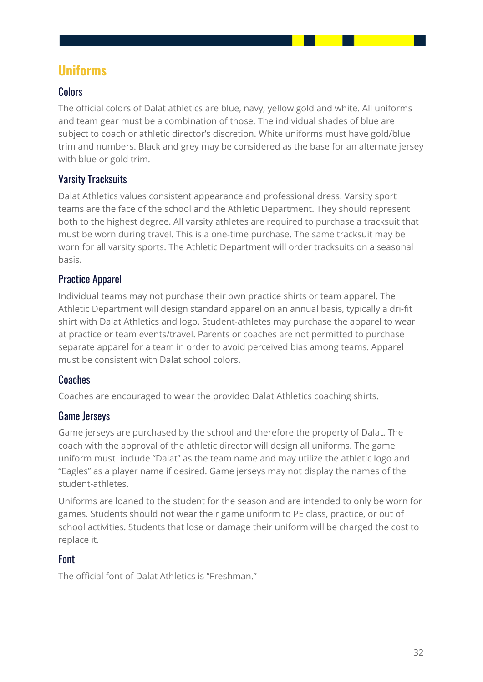### <span id="page-32-0"></span>**Uniforms**

### <span id="page-32-1"></span>**Colors**

The official colors of Dalat athletics are blue, navy, yellow gold and white. All uniforms and team gear must be a combination of those. The individual shades of blue are subject to coach or athletic director's discretion. White uniforms must have gold/blue trim and numbers. Black and grey may be considered as the base for an alternate jersey with blue or gold trim.

### <span id="page-32-2"></span>Varsity Tracksuits

Dalat Athletics values consistent appearance and professional dress. Varsity sport teams are the face of the school and the Athletic Department. They should represent both to the highest degree. All varsity athletes are required to purchase a tracksuit that must be worn during travel. This is a one-time purchase. The same tracksuit may be worn for all varsity sports. The Athletic Department will order tracksuits on a seasonal basis.

### <span id="page-32-3"></span>Practice Apparel

Individual teams may not purchase their own practice shirts or team apparel. The Athletic Department will design standard apparel on an annual basis, typically a dri-fit shirt with Dalat Athletics and logo. Student-athletes may purchase the apparel to wear at practice or team events/travel. Parents or coaches are not permitted to purchase separate apparel for a team in order to avoid perceived bias among teams. Apparel must be consistent with Dalat school colors.

### <span id="page-32-4"></span>Coaches

Coaches are encouraged to wear the provided Dalat Athletics coaching shirts.

### <span id="page-32-5"></span>Game Jerseys

Game jerseys are purchased by the school and therefore the property of Dalat. The coach with the approval of the athletic director will design all uniforms. The game uniform must include "Dalat" as the team name and may utilize the athletic logo and "Eagles" as a player name if desired. Game jerseys may not display the names of the student-athletes.

Uniforms are loaned to the student for the season and are intended to only be worn for games. Students should not wear their game uniform to PE class, practice, or out of school activities. Students that lose or damage their uniform will be charged the cost to replace it.

### <span id="page-32-6"></span>Font

The official font of Dalat Athletics is "Freshman."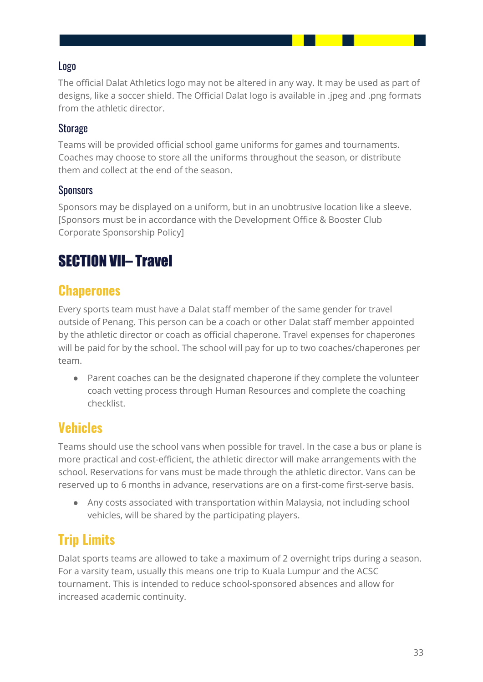### <span id="page-33-0"></span>Logo

The official Dalat Athletics logo may not be altered in any way. It may be used as part of designs, like a soccer shield. The Official Dalat logo is available in .jpeg and .png formats from the athletic director.

### <span id="page-33-1"></span>**Storage**

Teams will be provided official school game uniforms for games and tournaments. Coaches may choose to store all the uniforms throughout the season, or distribute them and collect at the end of the season.

### <span id="page-33-2"></span>**Sponsors**

Sponsors may be displayed on a uniform, but in an unobtrusive location like a sleeve. [Sponsors must be in accordance with the Development Office & Booster Club Corporate Sponsorship Policy]

# <span id="page-33-3"></span>SECTION VII– Travel

### <span id="page-33-4"></span>**Chaperones**

Every sports team must have a Dalat staff member of the same gender for travel outside of Penang. This person can be a coach or other Dalat staff member appointed by the athletic director or coach as official chaperone. Travel expenses for chaperones will be paid for by the school. The school will pay for up to two coaches/chaperones per team.

● Parent coaches can be the designated chaperone if they complete the volunteer coach vetting process through Human Resources and complete the coaching checklist.

### <span id="page-33-5"></span>**Vehicles**

Teams should use the school vans when possible for travel. In the case a bus or plane is more practical and cost-efficient, the athletic director will make arrangements with the school. Reservations for vans must be made through the athletic director. Vans can be reserved up to 6 months in advance, reservations are on a first-come first-serve basis.

● Any costs associated with transportation within Malaysia, not including school vehicles, will be shared by the participating players.

# <span id="page-33-6"></span>**Trip Limits**

Dalat sports teams are allowed to take a maximum of 2 overnight trips during a season. For a varsity team, usually this means one trip to Kuala Lumpur and the ACSC tournament. This is intended to reduce school-sponsored absences and allow for increased academic continuity.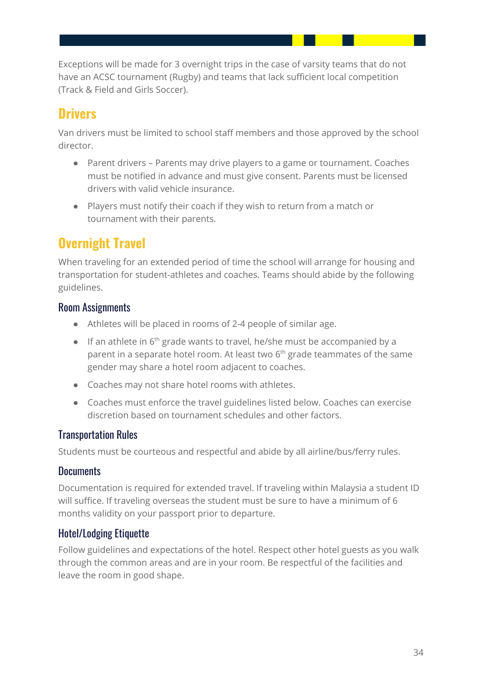Exceptions will be made for 3 overnight trips in the case of varsity teams that do not have an ACSC tournament (Rugby) and teams that lack sufficient local competition (Track & Field and Girls Soccer).

# <span id="page-34-0"></span>**Drivers**

Van drivers must be limited to school staff members and those approved by the school director.

- Parent drivers Parents may drive players to a game or tournament. Coaches must be notified in advance and must give consent. Parents must be licensed drivers with valid vehicle insurance.
- Players must notify their coach if they wish to return from a match or tournament with their parents.

# <span id="page-34-1"></span>**Overnight Travel**

When traveling for an extended period of time the school will arrange for housing and transportation for student-athletes and coaches. Teams should abide by the following guidelines.

### <span id="page-34-2"></span>Room Assignments

- Athletes will be placed in rooms of 2-4 people of similar age.
- If an athlete in  $6<sup>th</sup>$  grade wants to travel, he/she must be accompanied by a parent in a separate hotel room. At least two 6<sup>th</sup> grade teammates of the same gender may share a hotel room adjacent to coaches.
- Coaches may not share hotel rooms with athletes.
- Coaches must enforce the travel guidelines listed below. Coaches can exercise discretion based on tournament schedules and other factors.

### <span id="page-34-3"></span>Transportation Rules

Students must be courteous and respectful and abide by all airline/bus/ferry rules.

### <span id="page-34-4"></span>**Documents**

Documentation is required for extended travel. If traveling within Malaysia a student ID will suffice. If traveling overseas the student must be sure to have a minimum of 6 months validity on your passport prior to departure.

### <span id="page-34-5"></span>Hotel/Lodging Etiquette

Follow guidelines and expectations of the hotel. Respect other hotel guests as you walk through the common areas and are in your room. Be respectful of the facilities and leave the room in good shape.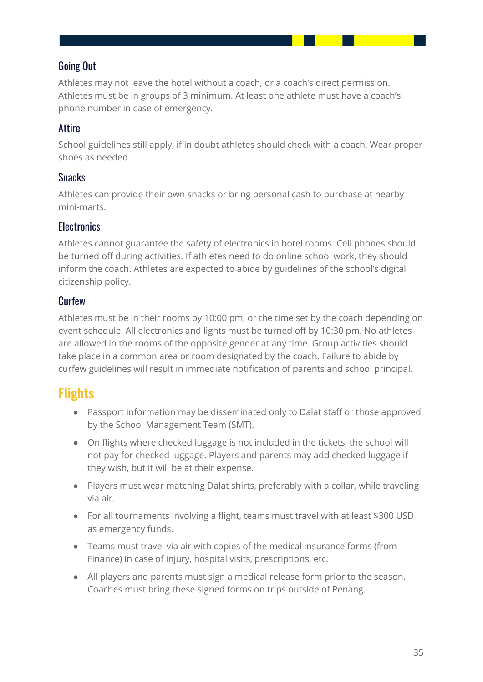### <span id="page-35-0"></span>Going Out

Athletes may not leave the hotel without a coach, or a coach's direct permission. Athletes must be in groups of 3 minimum. At least one athlete must have a coach's phone number in case of emergency.

### <span id="page-35-1"></span>Attire

School guidelines still apply, if in doubt athletes should check with a coach. Wear proper shoes as needed.

#### <span id="page-35-2"></span>Snacks

Athletes can provide their own snacks or bring personal cash to purchase at nearby mini-marts.

### <span id="page-35-3"></span>**Flectronics**

Athletes cannot guarantee the safety of electronics in hotel rooms. Cell phones should be turned off during activities. If athletes need to do online school work, they should inform the coach. Athletes are expected to abide by guidelines of the school's digital citizenship policy.

### <span id="page-35-4"></span>**Curfew**

Athletes must be in their rooms by 10:00 pm, or the time set by the coach depending on event schedule. All electronics and lights must be turned off by 10:30 pm. No athletes are allowed in the rooms of the opposite gender at any time. Group activities should take place in a common area or room designated by the coach. Failure to abide by curfew guidelines will result in immediate notification of parents and school principal.

### <span id="page-35-5"></span>**Flights**

- Passport information may be disseminated only to Dalat staff or those approved by the School Management Team (SMT).
- On flights where checked luggage is not included in the tickets, the school will not pay for checked luggage. Players and parents may add checked luggage if they wish, but it will be at their expense.
- Players must wear matching Dalat shirts, preferably with a collar, while traveling via air.
- For all tournaments involving a flight, teams must travel with at least \$300 USD as emergency funds.
- Teams must travel via air with copies of the medical insurance forms (from Finance) in case of injury, hospital visits, prescriptions, etc.
- All players and parents must sign a medical release form prior to the season. Coaches must bring these signed forms on trips outside of Penang.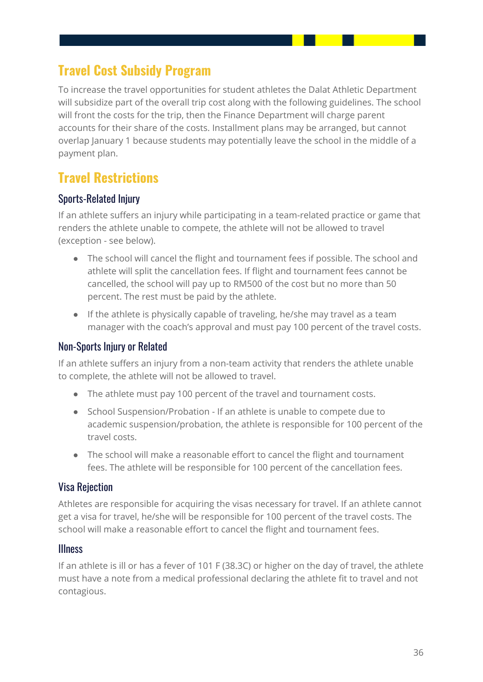# <span id="page-36-0"></span>**Travel Cost Subsidy Program**

To increase the travel opportunities for student athletes the Dalat Athletic Department will subsidize part of the overall trip cost along with the following guidelines. The school will front the costs for the trip, then the Finance Department will charge parent accounts for their share of the costs. Installment plans may be arranged, but cannot overlap January 1 because students may potentially leave the school in the middle of a payment plan.

### <span id="page-36-1"></span>**Travel Restrictions**

### <span id="page-36-2"></span>Sports-Related Injury

If an athlete suffers an injury while participating in a team-related practice or game that renders the athlete unable to compete, the athlete will not be allowed to travel (exception - see below).

- The school will cancel the flight and tournament fees if possible. The school and athlete will split the cancellation fees. If flight and tournament fees cannot be cancelled, the school will pay up to RM500 of the cost but no more than 50 percent. The rest must be paid by the athlete.
- If the athlete is physically capable of traveling, he/she may travel as a team manager with the coach's approval and must pay 100 percent of the travel costs.

### <span id="page-36-3"></span>Non-Sports Injury or Related

If an athlete suffers an injury from a non-team activity that renders the athlete unable to complete, the athlete will not be allowed to travel.

- The athlete must pay 100 percent of the travel and tournament costs.
- School Suspension/Probation If an athlete is unable to compete due to academic suspension/probation, the athlete is responsible for 100 percent of the travel costs.
- The school will make a reasonable effort to cancel the flight and tournament fees. The athlete will be responsible for 100 percent of the cancellation fees.

### <span id="page-36-4"></span>Visa Rejection

Athletes are responsible for acquiring the visas necessary for travel. If an athlete cannot get a visa for travel, he/she will be responsible for 100 percent of the travel costs. The school will make a reasonable effort to cancel the flight and tournament fees.

#### <span id="page-36-5"></span>**Illness**

If an athlete is ill or has a fever of 101 F (38.3C) or higher on the day of travel, the athlete must have a note from a medical professional declaring the athlete fit to travel and not contagious.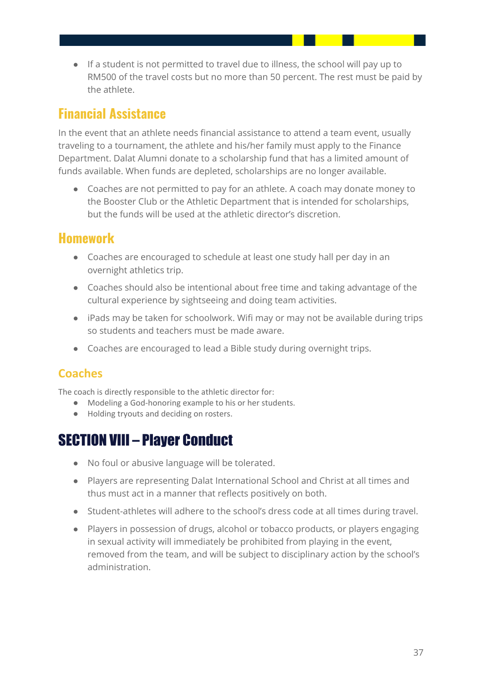● If a student is not permitted to travel due to illness, the school will pay up to RM500 of the travel costs but no more than 50 percent. The rest must be paid by the athlete.

### <span id="page-37-0"></span>**Financial Assistance**

In the event that an athlete needs financial assistance to attend a team event, usually traveling to a tournament, the athlete and his/her family must apply to the Finance Department. Dalat Alumni donate to a scholarship fund that has a limited amount of funds available. When funds are depleted, scholarships are no longer available.

● Coaches are not permitted to pay for an athlete. A coach may donate money to the Booster Club or the Athletic Department that is intended for scholarships, but the funds will be used at the athletic director's discretion.

### <span id="page-37-1"></span>**Homework**

- Coaches are encouraged to schedule at least one study hall per day in an overnight athletics trip.
- Coaches should also be intentional about free time and taking advantage of the cultural experience by sightseeing and doing team activities.
- iPads may be taken for schoolwork. Wifi may or may not be available during trips so students and teachers must be made aware.
- Coaches are encouraged to lead a Bible study during overnight trips.

### <span id="page-37-2"></span>**Coaches**

The coach is directly responsible to the athletic director for:

- Modeling a God-honoring example to his or her students.
- Holding tryouts and deciding on rosters.

# <span id="page-37-3"></span>SECTION VIII – Player Conduct

- No foul or abusive language will be tolerated.
- Players are representing Dalat International School and Christ at all times and thus must act in a manner that reflects positively on both.
- Student-athletes will adhere to the school's dress code at all times during travel.
- Players in possession of drugs, alcohol or tobacco products, or players engaging in sexual activity will immediately be prohibited from playing in the event, removed from the team, and will be subject to disciplinary action by the school's administration.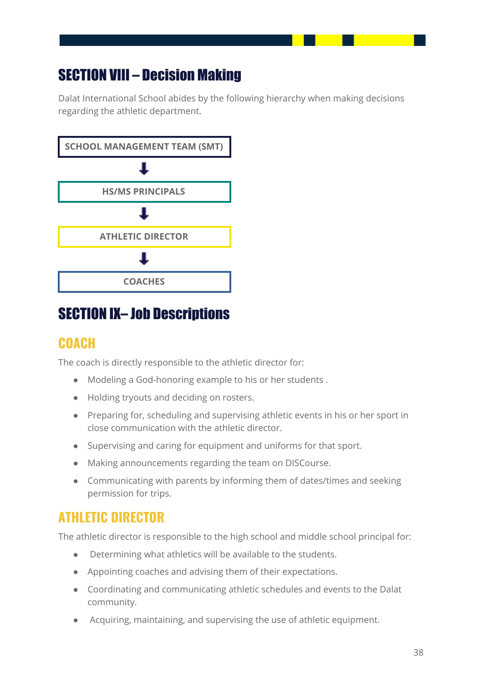# <span id="page-38-0"></span>SECTION VIII – Decision Making

Dalat International School abides by the following hierarchy when making decisions regarding the athletic department.



# <span id="page-38-1"></span>SECTION IX– Job Descriptions

### <span id="page-38-2"></span>**COACH**

The coach is directly responsible to the athletic director for:

- Modeling a God-honoring example to his or her students .
- Holding tryouts and deciding on rosters.
- Preparing for, scheduling and supervising athletic events in his or her sport in close communication with the athletic director.
- Supervising and caring for equipment and uniforms for that sport.
- Making announcements regarding the team on DISCourse.
- Communicating with parents by informing them of dates/times and seeking permission for trips.

# <span id="page-38-3"></span>**ATHLETIC DIRECTOR**

The athletic director is responsible to the high school and middle school principal for:

- Determining what athletics will be available to the students.
- Appointing coaches and advising them of their expectations.
- Coordinating and communicating athletic schedules and events to the Dalat community.
- Acquiring, maintaining, and supervising the use of athletic equipment.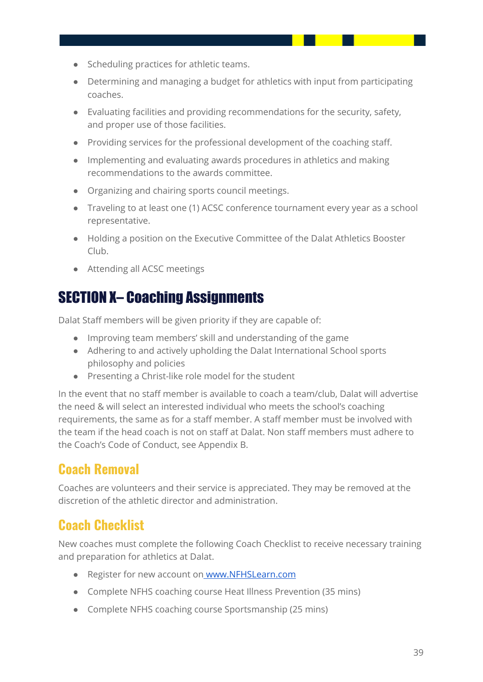- Scheduling practices for athletic teams.
- Determining and managing a budget for athletics with input from participating coaches.
- Evaluating facilities and providing recommendations for the security, safety, and proper use of those facilities.
- Providing services for the professional development of the coaching staff.
- Implementing and evaluating awards procedures in athletics and making recommendations to the awards committee.
- Organizing and chairing sports council meetings.
- Traveling to at least one (1) ACSC conference tournament every year as a school representative.
- Holding a position on the Executive Committee of the Dalat Athletics Booster Club.
- Attending all ACSC meetings

# <span id="page-39-0"></span>SECTION X– Coaching Assignments

Dalat Staff members will be given priority if they are capable of:

- Improving team members' skill and understanding of the game
- Adhering to and actively upholding the Dalat International School sports philosophy and policies
- Presenting a Christ-like role model for the student

In the event that no staff member is available to coach a team/club, Dalat will advertise the need & will select an interested individual who meets the school's coaching requirements, the same as for a staff member. A staff member must be involved with the team if the head coach is not on staff at Dalat. Non staff members must adhere to the Coach's Code of Conduct, see Appendix B.

# <span id="page-39-1"></span>**Coach Removal**

Coaches are volunteers and their service is appreciated. They may be removed at the discretion of the athletic director and administration.

# <span id="page-39-2"></span>**Coach Checklist**

New coaches must complete the following Coach Checklist to receive necessary training and preparation for athletics at Dalat.

- Register for new account on [www.NFHSLearn.com](http://www.nfhslearn.com/)
- Complete NFHS coaching course Heat Illness Prevention (35 mins)
- Complete NFHS coaching course Sportsmanship (25 mins)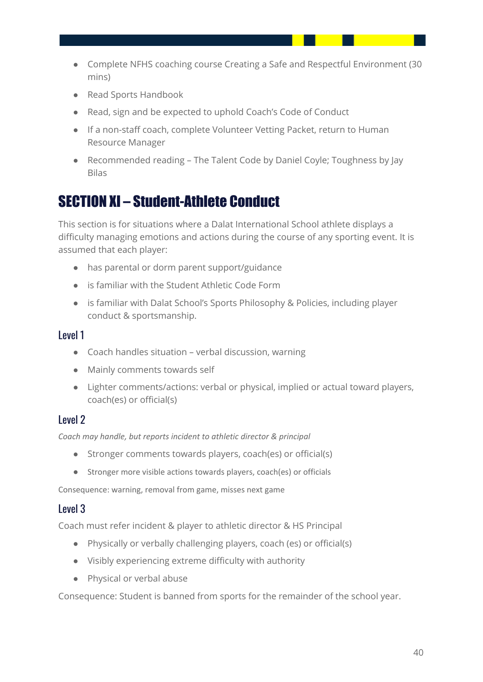- Complete NFHS coaching course Creating a Safe and Respectful Environment (30 mins)
- Read Sports Handbook
- Read, sign and be expected to uphold Coach's Code of Conduct
- If a non-staff coach, complete Volunteer Vetting Packet, return to Human Resource Manager
- Recommended reading The Talent Code by Daniel Coyle; Toughness by Jay Bilas

# <span id="page-40-0"></span>SECTION XI – Student-Athlete Conduct

This section is for situations where a Dalat International School athlete displays a difficulty managing emotions and actions during the course of any sporting event. It is assumed that each player:

- has parental or dorm parent support/guidance
- is familiar with the Student Athletic Code Form
- is familiar with Dalat School's Sports Philosophy & Policies, including player conduct & sportsmanship.

#### <span id="page-40-1"></span>Level 1

- Coach handles situation verbal discussion, warning
- Mainly comments towards self
- Lighter comments/actions: verbal or physical, implied or actual toward players, coach(es) or official(s)

### <span id="page-40-2"></span>Level 2

*Coach may handle, but reports incident to athletic director & principal*

- Stronger comments towards players, coach(es) or official(s)
- Stronger more visible actions towards players, coach(es) or officials

Consequence: warning, removal from game, misses next game

#### <span id="page-40-3"></span>Level 3

Coach must refer incident & player to athletic director & HS Principal

- Physically or verbally challenging players, coach (es) or official(s)
- Visibly experiencing extreme difficulty with authority
- Physical or verbal abuse

Consequence: Student is banned from sports for the remainder of the school year.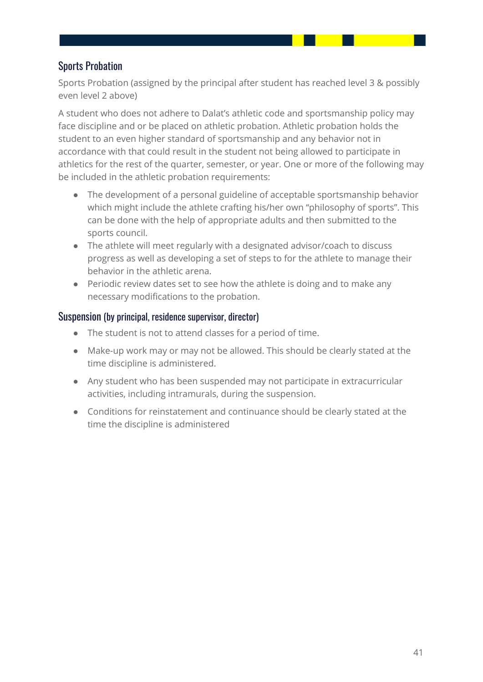### <span id="page-41-0"></span>Sports Probation

Sports Probation (assigned by the principal after student has reached level 3 & possibly even level 2 above)

A student who does not adhere to Dalat's athletic code and sportsmanship policy may face discipline and or be placed on athletic probation. Athletic probation holds the student to an even higher standard of sportsmanship and any behavior not in accordance with that could result in the student not being allowed to participate in athletics for the rest of the quarter, semester, or year. One or more of the following may be included in the athletic probation requirements:

- The development of a personal guideline of acceptable sportsmanship behavior which might include the athlete crafting his/her own "philosophy of sports". This can be done with the help of appropriate adults and then submitted to the sports council.
- The athlete will meet regularly with a designated advisor/coach to discuss progress as well as developing a set of steps to for the athlete to manage their behavior in the athletic arena.
- Periodic review dates set to see how the athlete is doing and to make any necessary modifications to the probation.

#### <span id="page-41-1"></span>Suspension (by principal, residence supervisor, director)

- The student is not to attend classes for a period of time.
- Make-up work may or may not be allowed. This should be clearly stated at the time discipline is administered.
- Any student who has been suspended may not participate in extracurricular activities, including intramurals, during the suspension.
- Conditions for reinstatement and continuance should be clearly stated at the time the discipline is administered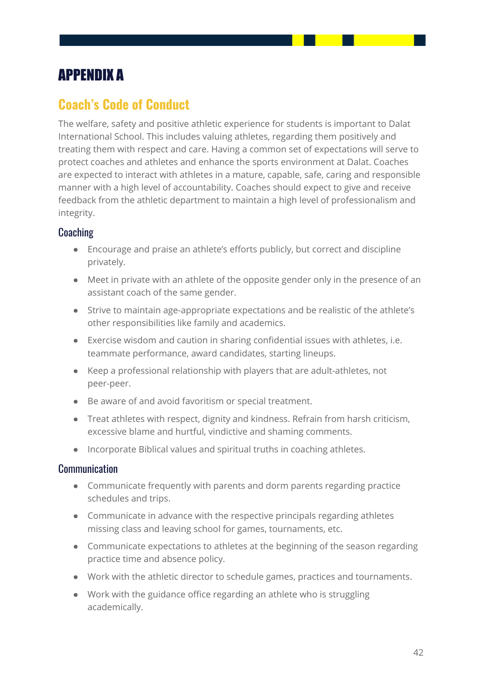# <span id="page-42-0"></span>APPENDIX A

### <span id="page-42-1"></span>**Coach's Code of Conduct**

The welfare, safety and positive athletic experience for students is important to Dalat International School. This includes valuing athletes, regarding them positively and treating them with respect and care. Having a common set of expectations will serve to protect coaches and athletes and enhance the sports environment at Dalat. Coaches are expected to interact with athletes in a mature, capable, safe, caring and responsible manner with a high level of accountability. Coaches should expect to give and receive feedback from the athletic department to maintain a high level of professionalism and integrity.

### <span id="page-42-2"></span>**Coaching**

- Encourage and praise an athlete's efforts publicly, but correct and discipline privately.
- Meet in private with an athlete of the opposite gender only in the presence of an assistant coach of the same gender.
- Strive to maintain age-appropriate expectations and be realistic of the athlete's other responsibilities like family and academics.
- Exercise wisdom and caution in sharing confidential issues with athletes, i.e. teammate performance, award candidates, starting lineups.
- Keep a professional relationship with players that are adult-athletes, not peer-peer.
- Be aware of and avoid favoritism or special treatment.
- Treat athletes with respect, dignity and kindness. Refrain from harsh criticism, excessive blame and hurtful, vindictive and shaming comments.
- Incorporate Biblical values and spiritual truths in coaching athletes.

#### <span id="page-42-3"></span>Communication

- Communicate frequently with parents and dorm parents regarding practice schedules and trips.
- Communicate in advance with the respective principals regarding athletes missing class and leaving school for games, tournaments, etc.
- Communicate expectations to athletes at the beginning of the season regarding practice time and absence policy.
- Work with the athletic director to schedule games, practices and tournaments.
- Work with the guidance office regarding an athlete who is struggling academically.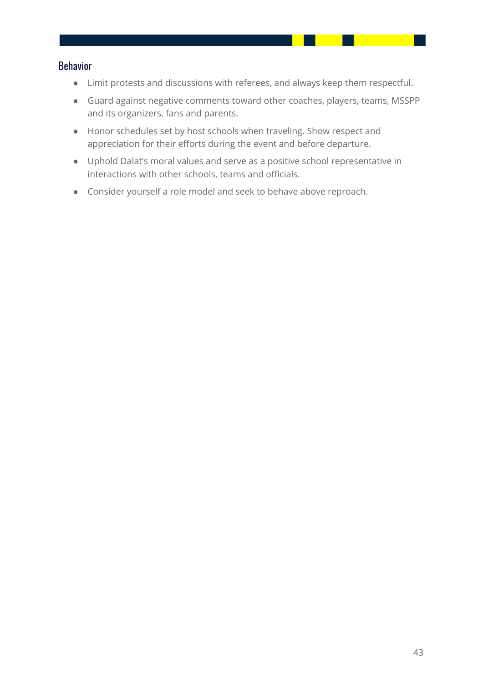#### <span id="page-43-0"></span>Behavior

- Limit protests and discussions with referees, and always keep them respectful.
- Guard against negative comments toward other coaches, players, teams, MSSPP and its organizers, fans and parents.
- Honor schedules set by host schools when traveling. Show respect and appreciation for their efforts during the event and before departure.
- Uphold Dalat's moral values and serve as a positive school representative in interactions with other schools, teams and officials.
- Consider yourself a role model and seek to behave above reproach.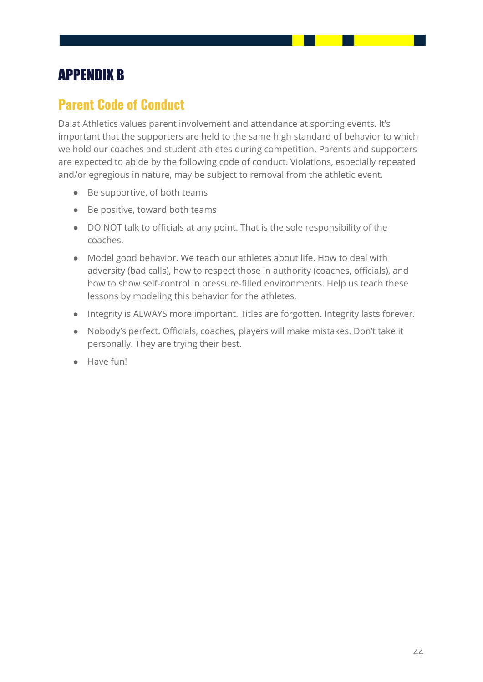# <span id="page-44-0"></span>APPENDIX B

### <span id="page-44-1"></span>**Parent Code of Conduct**

Dalat Athletics values parent involvement and attendance at sporting events. It's important that the supporters are held to the same high standard of behavior to which we hold our coaches and student-athletes during competition. Parents and supporters are expected to abide by the following code of conduct. Violations, especially repeated and/or egregious in nature, may be subject to removal from the athletic event.

- Be supportive, of both teams
- Be positive, toward both teams
- DO NOT talk to officials at any point. That is the sole responsibility of the coaches.
- Model good behavior. We teach our athletes about life. How to deal with adversity (bad calls), how to respect those in authority (coaches, officials), and how to show self-control in pressure-filled environments. Help us teach these lessons by modeling this behavior for the athletes.
- Integrity is ALWAYS more important. Titles are forgotten. Integrity lasts forever.
- Nobody's perfect. Officials, coaches, players will make mistakes. Don't take it personally. They are trying their best.
- Have fun!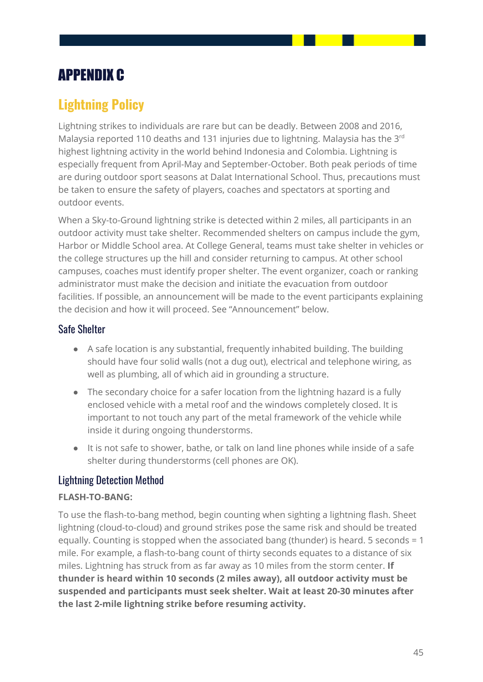# <span id="page-45-0"></span>APPENDIX C

# <span id="page-45-1"></span>**Lightning Policy**

Lightning strikes to individuals are rare but can be deadly. Between 2008 and 2016, Malaysia reported 110 deaths and 131 injuries due to lightning. Malaysia has the 3<sup>rd</sup> highest lightning activity in the world behind Indonesia and Colombia. Lightning is especially frequent from April-May and September-October. Both peak periods of time are during outdoor sport seasons at Dalat International School. Thus, precautions must be taken to ensure the safety of players, coaches and spectators at sporting and outdoor events.

When a Sky-to-Ground lightning strike is detected within 2 miles, all participants in an outdoor activity must take shelter. Recommended shelters on campus include the gym, Harbor or Middle School area. At College General, teams must take shelter in vehicles or the college structures up the hill and consider returning to campus. At other school campuses, coaches must identify proper shelter. The event organizer, coach or ranking administrator must make the decision and initiate the evacuation from outdoor facilities. If possible, an announcement will be made to the event participants explaining the decision and how it will proceed. See "Announcement" below.

### <span id="page-45-2"></span>Safe Shelter

- A safe location is any substantial, frequently inhabited building. The building should have four solid walls (not a dug out), electrical and telephone wiring, as well as plumbing, all of which aid in grounding a structure.
- The secondary choice for a safer location from the lightning hazard is a fully enclosed vehicle with a metal roof and the windows completely closed. It is important to not touch any part of the metal framework of the vehicle while inside it during ongoing thunderstorms.
- It is not safe to shower, bathe, or talk on land line phones while inside of a safe shelter during thunderstorms (cell phones are OK).

### <span id="page-45-3"></span>Lightning Detection Method

#### **FLASH-TO-BANG:**

To use the flash-to-bang method, begin counting when sighting a lightning flash. Sheet lightning (cloud-to-cloud) and ground strikes pose the same risk and should be treated equally. Counting is stopped when the associated bang (thunder) is heard. 5 seconds = 1 mile. For example, a flash-to-bang count of thirty seconds equates to a distance of six miles. Lightning has struck from as far away as 10 miles from the storm center. **If thunder is heard within 10 seconds (2 miles away), all outdoor activity must be suspended and participants must seek shelter. Wait at least 20-30 minutes after the last 2-mile lightning strike before resuming activity.**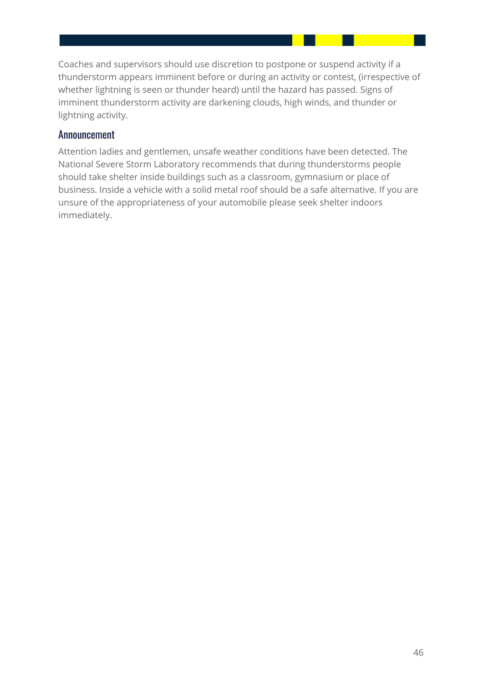Coaches and supervisors should use discretion to postpone or suspend activity if a thunderstorm appears imminent before or during an activity or contest, (irrespective of whether lightning is seen or thunder heard) until the hazard has passed. Signs of imminent thunderstorm activity are darkening clouds, high winds, and thunder or lightning activity.

#### <span id="page-46-0"></span>Announcement

Attention ladies and gentlemen, unsafe weather conditions have been detected. The National Severe Storm Laboratory recommends that during thunderstorms people should take shelter inside buildings such as a classroom, gymnasium or place of business. Inside a vehicle with a solid metal roof should be a safe alternative. If you are unsure of the appropriateness of your automobile please seek shelter indoors immediately.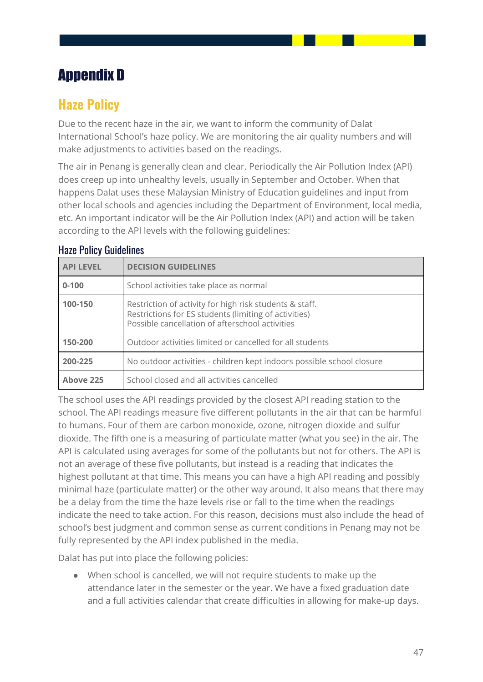# Appendix D

### **Haze Policy**

Due to the recent haze in the air, we want to inform the community of Dalat International School's haze policy. We are monitoring the air quality numbers and will make adjustments to activities based on the readings.

The air in Penang is generally clean and clear. Periodically the Air Pollution Index (API) does creep up into unhealthy levels, usually in September and October. When that happens Dalat uses these Malaysian Ministry of Education guidelines and input from other local schools and agencies including the Department of Environment, local media, etc. An important indicator will be the Air Pollution Index (API) and action will be taken according to the API levels with the following guidelines:

| <b>API LEVEL</b> | <b>DECISION GUIDELINES</b>                                                                                                                                          |
|------------------|---------------------------------------------------------------------------------------------------------------------------------------------------------------------|
| $0 - 100$        | School activities take place as normal                                                                                                                              |
| 100-150          | Restriction of activity for high risk students & staff.<br>Restrictions for ES students (limiting of activities)<br>Possible cancellation of afterschool activities |
| 150-200          | Outdoor activities limited or cancelled for all students                                                                                                            |
| 200-225          | No outdoor activities - children kept indoors possible school closure                                                                                               |
| Above 225        | School closed and all activities cancelled                                                                                                                          |

#### Haze Policy Guidelines

The school uses the API readings provided by the closest API reading station to the school. The API readings measure five different pollutants in the air that can be harmful to humans. Four of them are carbon monoxide, ozone, nitrogen dioxide and sulfur dioxide. The fifth one is a measuring of particulate matter (what you see) in the air. The API is calculated using averages for some of the pollutants but not for others. The API is not an average of these five pollutants, but instead is a reading that indicates the highest pollutant at that time. This means you can have a high API reading and possibly minimal haze (particulate matter) or the other way around. It also means that there may be a delay from the time the haze levels rise or fall to the time when the readings indicate the need to take action. For this reason, decisions must also include the head of school's best judgment and common sense as current conditions in Penang may not be fully represented by the API index published in the media.

Dalat has put into place the following policies:

● When school is cancelled, we will not require students to make up the attendance later in the semester or the year. We have a fixed graduation date and a full activities calendar that create difficulties in allowing for make-up days.